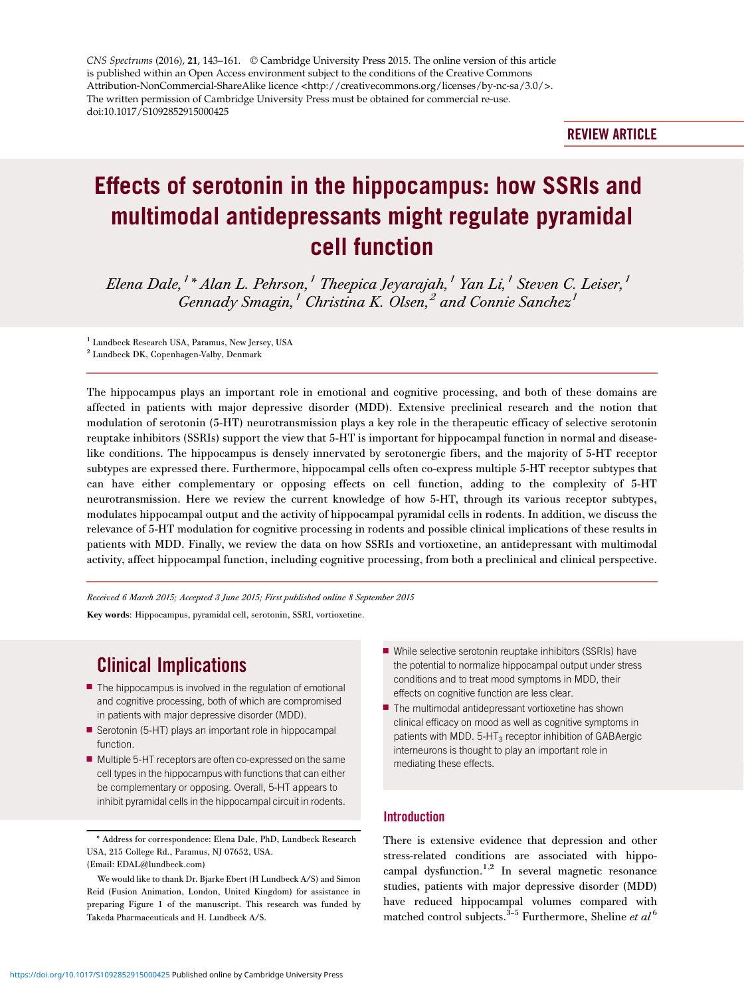CNS Spectrums (2016), 21, 143–161. © Cambridge University Press 2015. The online version of this article is published within an Open Access environment subject to the conditions of the Creative Commons Attribution-NonCommercial-ShareAlike licence <http://creativecommons.org/licenses/by-nc-sa/3.0/>. The written permission of Cambridge University Press must be obtained for commercial re-use. doi:10.1017/S1092852915000425

# REVIEW ARTICLE

# Effects of serotonin in the hippocampus: how SSRIs and multimodal antidepressants might regulate pyramidal cell function

Elena Dale,<sup>1</sup>\* Alan L. Pehrson,<sup>1</sup> Theepica Jeyarajah,<sup>1</sup> Yan Li,<sup>1</sup> Steven C. Leiser,<sup>1</sup>  $Gennadv Smaqin$ ,<sup>1</sup> Christina K. Olsen,<sup>2</sup> and Connie Sanchez<sup>1</sup>

<sup>1</sup> Lundbeck Research USA, Paramus, New Jersey, USA

The hippocampus plays an important role in emotional and cognitive processing, and both of these domains are affected in patients with major depressive disorder (MDD). Extensive preclinical research and the notion that modulation of serotonin (5-HT) neurotransmission plays a key role in the therapeutic efficacy of selective serotonin reuptake inhibitors (SSRIs) support the view that 5-HT is important for hippocampal function in normal and diseaselike conditions. The hippocampus is densely innervated by serotonergic fibers, and the majority of 5-HT receptor subtypes are expressed there. Furthermore, hippocampal cells often co-express multiple 5-HT receptor subtypes that can have either complementary or opposing effects on cell function, adding to the complexity of 5-HT neurotransmission. Here we review the current knowledge of how 5-HT, through its various receptor subtypes, modulates hippocampal output and the activity of hippocampal pyramidal cells in rodents. In addition, we discuss the relevance of 5-HT modulation for cognitive processing in rodents and possible clinical implications of these results in patients with MDD. Finally, we review the data on how SSRIs and vortioxetine, an antidepressant with multimodal activity, affect hippocampal function, including cognitive processing, from both a preclinical and clinical perspective.

Received 6 March 2015; Accepted 3 June 2015; First published online 8 September 2015 Key words: Hippocampus, pyramidal cell, serotonin, SSRI, vortioxetine.

# Clinical Implications

- $\blacksquare$  The hippocampus is involved in the regulation of emotional and cognitive processing, both of which are compromised in patients with major depressive disorder (MDD).
- Serotonin (5-HT) plays an important role in hippocampal function.
- Multiple 5-HT receptors are often co-expressed on the same cell types in the hippocampus with functions that can either be complementary or opposing. Overall, 5-HT appears to inhibit pyramidal cells in the hippocampal circuit in rodents.
- While selective serotonin reuptake inhibitors (SSRIs) have the potential to normalize hippocampal output under stress conditions and to treat mood symptoms in MDD, their effects on cognitive function are less clear.
- $\blacksquare$  The multimodal antidepressant vortioxetine has shown clinical efficacy on mood as well as cognitive symptoms in patients with MDD.  $5-HT_3$  receptor inhibition of GABAergic interneurons is thought to play an important role in mediating these effects.

#### Introduction

There is extensive evidence that depression and other stress-related conditions are associated with hippocampal dysfunction.<sup>1,2</sup> In several magnetic resonance studies, patients with major depressive disorder (MDD) have reduced hippocampal volumes compared with matched control subjects.<sup>3-[5](#page-11-0)</sup> Furthermore, Sheline et  $al^6$  $al^6$ 

<sup>2</sup> Lundbeck DK, Copenhagen-Valby, Denmark

<sup>\*</sup> Address for correspondence: Elena Dale, PhD, Lundbeck Research USA, 215 College Rd., Paramus, NJ 07652, USA. (Email: [EDAL@lundbeck.com\)](mailto:EDAL@lundbeck.com)

We would like to thank Dr. Bjarke Ebert (H Lundbeck A/S) and Simon Reid (Fusion Animation, London, United Kingdom) for assistance in preparing Figure 1 of the manuscript. This research was funded by Takeda Pharmaceuticals and H. Lundbeck A/S.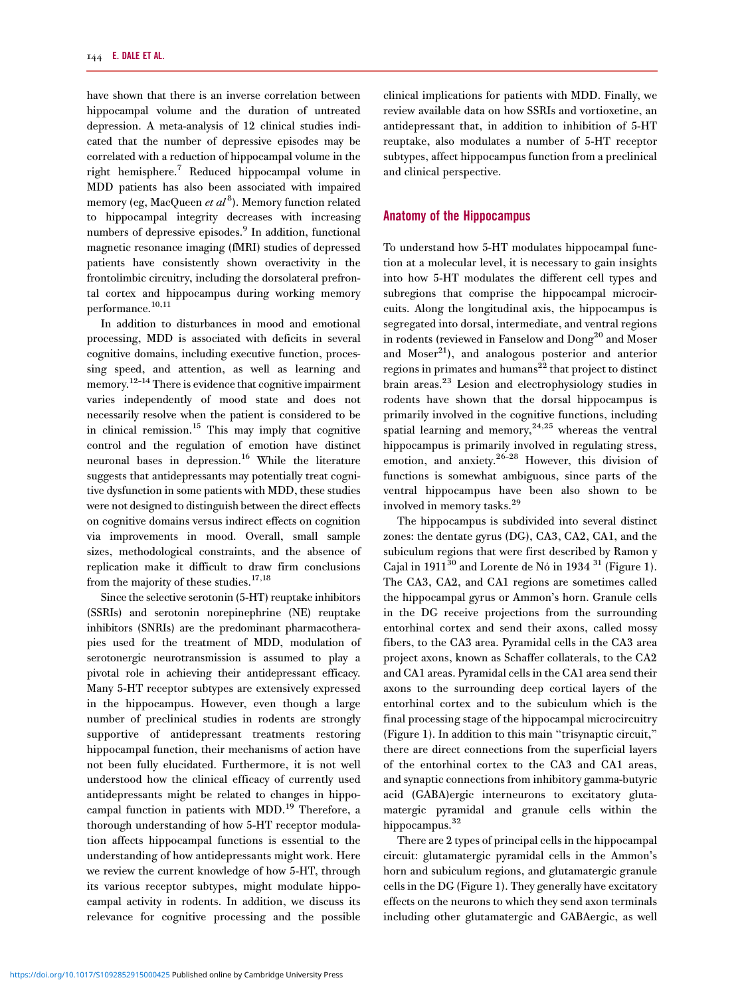have shown that there is an inverse correlation between hippocampal volume and the duration of untreated depression. A meta-analysis of 12 clinical studies indicated that the number of depressive episodes may be correlated with a reduction of hippocampal volume in the right hemisphere[.7](#page-11-0) Reduced hippocampal volume in MDD patients has also been associated with impaired memory (eg, MacQueen et al<sup>[8](#page-11-0)</sup>). Memory function related to hippocampal integrity decreases with increasing numbers of depressive episodes.<sup>[9](#page-11-0)</sup> In addition, functional magnetic resonance imaging (fMRI) studies of depressed patients have consistently shown overactivity in the frontolimbic circuitry, including the dorsolateral prefrontal cortex and hippocampus during working memory performance.[10,11](#page-12-0)

In addition to disturbances in mood and emotional processing, MDD is associated with deficits in several cognitive domains, including executive function, processing speed, and attention, as well as learning and memory.<sup>12-[14](#page-12-0)</sup> There is evidence that cognitive impairment varies independently of mood state and does not necessarily resolve when the patient is considered to be in clinical remission.<sup>15</sup> This may imply that cognitive control and the regulation of emotion have distinct neuronal bases in depression.<sup>[16](#page-12-0)</sup> While the literature suggests that antidepressants may potentially treat cognitive dysfunction in some patients with MDD, these studies were not designed to distinguish between the direct effects on cognitive domains versus indirect effects on cognition via improvements in mood. Overall, small sample sizes, methodological constraints, and the absence of replication make it difficult to draw firm conclusions from the majority of these studies.<sup>17,18</sup>

Since the selective serotonin (5-HT) reuptake inhibitors (SSRIs) and serotonin norepinephrine (NE) reuptake inhibitors (SNRIs) are the predominant pharmacotherapies used for the treatment of MDD, modulation of serotonergic neurotransmission is assumed to play a pivotal role in achieving their antidepressant efficacy. Many 5-HT receptor subtypes are extensively expressed in the hippocampus. However, even though a large number of preclinical studies in rodents are strongly supportive of antidepressant treatments restoring hippocampal function, their mechanisms of action have not been fully elucidated. Furthermore, it is not well understood how the clinical efficacy of currently used antidepressants might be related to changes in hippo-campal function in patients with MDD.<sup>[19](#page-12-0)</sup> Therefore, a thorough understanding of how 5-HT receptor modulation affects hippocampal functions is essential to the understanding of how antidepressants might work. Here we review the current knowledge of how 5-HT, through its various receptor subtypes, might modulate hippocampal activity in rodents. In addition, we discuss its relevance for cognitive processing and the possible

clinical implications for patients with MDD. Finally, we review available data on how SSRIs and vortioxetine, an antidepressant that, in addition to inhibition of 5-HT reuptake, also modulates a number of 5-HT receptor subtypes, affect hippocampus function from a preclinical and clinical perspective.

#### Anatomy of the Hippocampus

To understand how 5-HT modulates hippocampal function at a molecular level, it is necessary to gain insights into how 5-HT modulates the different cell types and subregions that comprise the hippocampal microcircuits. Along the longitudinal axis, the hippocampus is segregated into dorsal, intermediate, and ventral regions in rodents (reviewed in Fanselow and Dong<sup>[20](#page-12-0)</sup> and Moser and  $Moser<sup>21</sup>$ ), and analogous posterior and anterior regions in primates and humans<sup>[22](#page-12-0)</sup> that project to distinct brain areas.[23](#page-12-0) Lesion and electrophysiology studies in rodents have shown that the dorsal hippocampus is primarily involved in the cognitive functions, including spatial learning and memory,  $24.25$  whereas the ventral hippocampus is primarily involved in regulating stress, emotion, and anxiety.<sup>[26](#page-12-0)-[28](#page-12-0)</sup> However, this division of functions is somewhat ambiguous, since parts of the ventral hippocampus have been also shown to be involved in memory tasks.[29](#page-12-0)

The hippocampus is subdivided into several distinct zones: the dentate gyrus (DG), CA3, CA2, CA1, and the subiculum regions that were first described by Ramon y Cajal in  $1911^{30}$  and Lorente de Nó in 1934  $^{31}$  $^{31}$  $^{31}$  ([Figure 1\)](#page-2-0). The CA3, CA2, and CA1 regions are sometimes called the hippocampal gyrus or Ammon's horn. Granule cells in the DG receive projections from the surrounding entorhinal cortex and send their axons, called mossy fibers, to the CA3 area. Pyramidal cells in the CA3 area project axons, known as Schaffer collaterals, to the CA2 and CA1 areas. Pyramidal cells in the CA1 area send their axons to the surrounding deep cortical layers of the entorhinal cortex and to the subiculum which is the final processing stage of the hippocampal microcircuitry [\(Figure 1\)](#page-2-0). In addition to this main "trisynaptic circuit," there are direct connections from the superficial layers of the entorhinal cortex to the CA3 and CA1 areas, and synaptic connections from inhibitory gamma-butyric acid (GABA)ergic interneurons to excitatory glutamatergic pyramidal and granule cells within the hippocampus.<sup>[32](#page-12-0)</sup>

There are 2 types of principal cells in the hippocampal circuit: glutamatergic pyramidal cells in the Ammon's horn and subiculum regions, and glutamatergic granule cells in the DG ([Figure 1\)](#page-2-0). They generally have excitatory effects on the neurons to which they send axon terminals including other glutamatergic and GABAergic, as well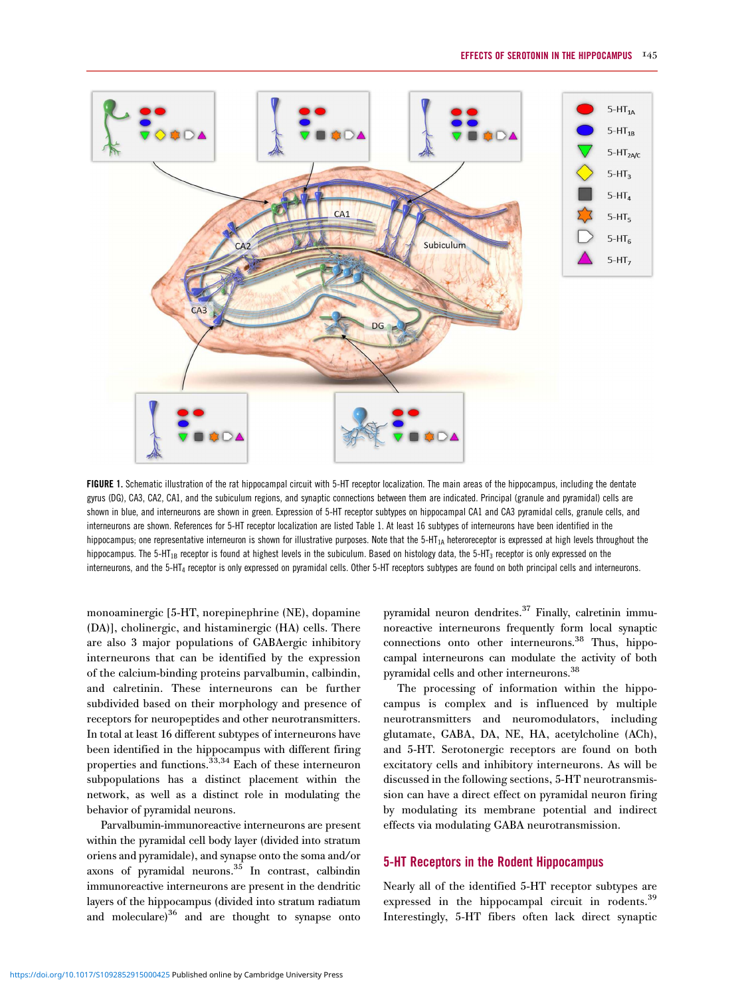<span id="page-2-0"></span>

FIGURE 1. Schematic illustration of the rat hippocampal circuit with 5-HT receptor localization. The main areas of the hippocampus, including the dentate gyrus (DG), CA3, CA2, CA1, and the subiculum regions, and synaptic connections between them are indicated. Principal (granule and pyramidal) cells are shown in blue, and interneurons are shown in green. Expression of 5-HT receptor subtypes on hippocampal CA1 and CA3 pyramidal cells, granule cells, and interneurons are shown. References for 5-HT receptor localization are listed [Table 1](#page-3-0). At least 16 subtypes of interneurons have been identified in the hippocampus; one representative interneuron is shown for illustrative purposes. Note that the 5-HT<sub>1A</sub> heteroreceptor is expressed at high levels throughout the hippocampus. The 5-HT<sub>1B</sub> receptor is found at highest levels in the subiculum. Based on histology data, the 5-HT<sub>3</sub> receptor is only expressed on the interneurons, and the 5-HT4 receptor is only expressed on pyramidal cells. Other 5-HT receptors subtypes are found on both principal cells and interneurons.

monoaminergic [5-HT, norepinephrine (NE), dopamine (DA)], cholinergic, and histaminergic (HA) cells. There are also 3 major populations of GABAergic inhibitory interneurons that can be identified by the expression of the calcium-binding proteins parvalbumin, calbindin, and calretinin. These interneurons can be further subdivided based on their morphology and presence of receptors for neuropeptides and other neurotransmitters. In total at least 16 different subtypes of interneurons have been identified in the hippocampus with different firing properties and functions[.33,34](#page-12-0) Each of these interneuron subpopulations has a distinct placement within the network, as well as a distinct role in modulating the behavior of pyramidal neurons.

Parvalbumin-immunoreactive interneurons are present within the pyramidal cell body layer (divided into stratum oriens and pyramidale), and synapse onto the soma and/or  $\frac{1}{2}$  axons of pyramidal neurons.<sup>[35](#page-12-0)</sup> In contrast, calbindin immunoreactive interneurons are present in the dendritic layers of the hippocampus (divided into stratum radiatum and moleculare)<sup>36</sup> and are thought to synapse onto pyramidal neuron dendrites.<sup>37</sup> Finally, calretinin immunoreactive interneurons frequently form local synaptic connections onto other interneurons.<sup>[38](#page-12-0)</sup> Thus, hippocampal interneurons can modulate the activity of both pyramidal cells and other interneurons[.38](#page-12-0)

The processing of information within the hippocampus is complex and is influenced by multiple neurotransmitters and neuromodulators, including glutamate, GABA, DA, NE, HA, acetylcholine (ACh), and 5-HT. Serotonergic receptors are found on both excitatory cells and inhibitory interneurons. As will be discussed in the following sections, 5-HT neurotransmission can have a direct effect on pyramidal neuron firing by modulating its membrane potential and indirect effects via modulating GABA neurotransmission.

#### 5-HT Receptors in the Rodent Hippocampus

Nearly all of the identified 5-HT receptor subtypes are expressed in the hippocampal circuit in rodents.<sup>39</sup> Interestingly, 5-HT fibers often lack direct synaptic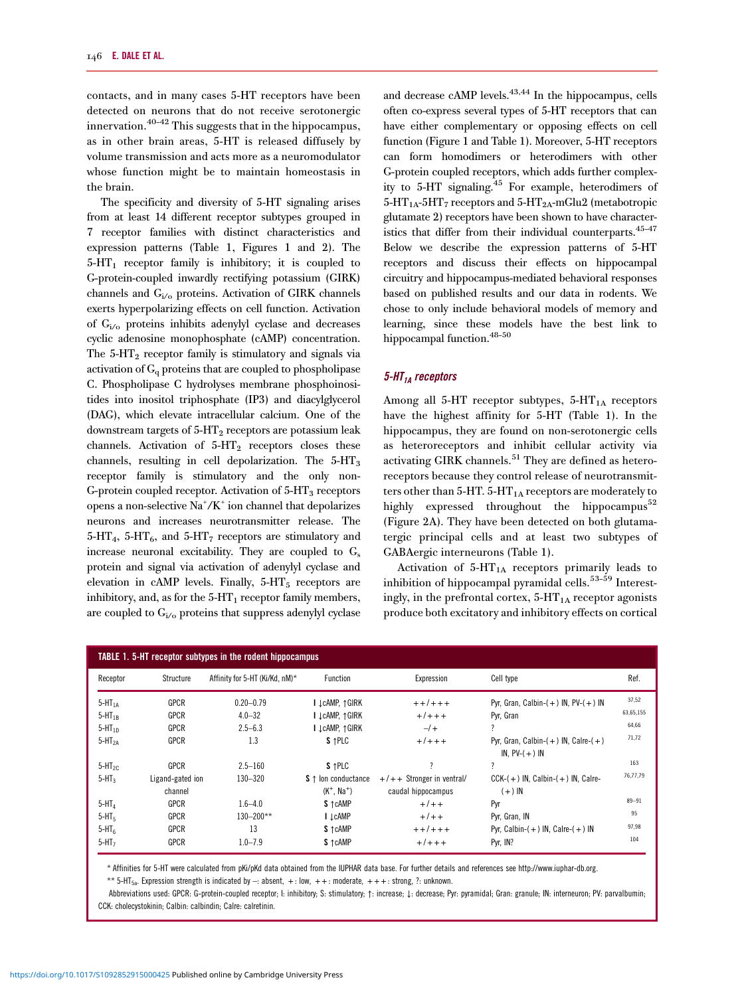<span id="page-3-0"></span>contacts, and in many cases 5-HT receptors have been detected on neurons that do not receive serotonergic innervation.[40](#page-12-0)–[42](#page-12-0) This suggests that in the hippocampus, as in other brain areas, 5-HT is released diffusely by volume transmission and acts more as a neuromodulator whose function might be to maintain homeostasis in the brain.

The specificity and diversity of 5-HT signaling arises from at least 14 different receptor subtypes grouped in 7 receptor families with distinct characteristics and expression patterns (Table 1, [Figures 1](#page-2-0) and [2\)](#page-4-0). The  $5-HT<sub>1</sub>$  receptor family is inhibitory; it is coupled to G-protein-coupled inwardly rectifying potassium (GIRK) channels and  $G<sub>i/o</sub>$  proteins. Activation of GIRK channels exerts hyperpolarizing effects on cell function. Activation of  $G<sub>i/o</sub>$  proteins inhibits adenylyl cyclase and decreases cyclic adenosine monophosphate (cAMP) concentration. The  $5-\text{HT}_2$  receptor family is stimulatory and signals via activation of  $G_q$  proteins that are coupled to phospholipase C. Phospholipase C hydrolyses membrane phosphoinositides into inositol triphosphate (IP3) and diacylglycerol (DAG), which elevate intracellular calcium. One of the downstream targets of  $5-HT_2$  receptors are potassium leak channels. Activation of  $5-HT_2$  receptors closes these channels, resulting in cell depolarization. The  $5-HT_3$ receptor family is stimulatory and the only non-G-protein coupled receptor. Activation of  $5-HT<sub>3</sub>$  receptors opens a non-selective Na<sup>+</sup>/K<sup>+</sup> ion channel that depolarizes neurons and increases neurotransmitter release. The  $5-HT_4$ ,  $5-HT_6$ , and  $5-HT_7$  receptors are stimulatory and increase neuronal excitability. They are coupled to G<sub>s</sub> protein and signal via activation of adenylyl cyclase and elevation in cAMP levels. Finally,  $5-\text{HT}_5$  receptors are inhibitory, and, as for the  $5-HT_1$  receptor family members, are coupled to  $G<sub>i/o</sub>$  proteins that suppress adenylyl cyclase

and decrease cAMP levels. $43,44$  In the hippocampus, cells often co-express several types of 5-HT receptors that can have either complementary or opposing effects on cell function [\(Figure 1](#page-2-0) and Table 1). Moreover, 5-HT receptors can form homodimers or heterodimers with other G-protein coupled receptors, which adds further complexity to 5-HT signaling.[45](#page-12-0) For example, heterodimers of  $5-HT_{1A} - 5HT_{7}$  receptors and  $5-HT_{2A}$ -mGlu2 (metabotropic glutamate 2) receptors have been shown to have character-istics that differ from their individual counterparts.<sup>[45](#page-12-0)-[47](#page-12-0)</sup> Below we describe the expression patterns of 5-HT receptors and discuss their effects on hippocampal circuitry and hippocampus-mediated behavioral responses based on published results and our data in rodents. We chose to only include behavioral models of memory and learning, since these models have the best link to hippocampal function.<sup>[48](#page-12-0)-[50](#page-12-0)</sup>

#### $5$ -HT<sub>1A</sub> receptors

Among all 5-HT receptor subtypes,  $5-HT<sub>1A</sub>$  receptors have the highest affinity for 5-HT (Table 1). In the hippocampus, they are found on non-serotonergic cells as heteroreceptors and inhibit cellular activity via activating GIRK channels.<sup>[51](#page-13-0)</sup> They are defined as heteroreceptors because they control release of neurotransmitters other than 5-HT.  $5-HT<sub>1A</sub>$  receptors are moderately to highly expressed throughout the hippocampus<sup>[52](#page-13-0)</sup> [\(Figure 2A](#page-4-0)). They have been detected on both glutamatergic principal cells and at least two subtypes of GABAergic interneurons (Table 1).

Activation of  $5-HT_{1A}$  receptors primarily leads to inhibition of hippocampal pyramidal cells.<sup>[53](#page-13-0)-[59](#page-13-0)</sup> Interestingly, in the prefrontal cortex,  $5-HT_{1A}$  receptor agonists produce both excitatory and inhibitory effects on cortical

|             |                  | <b>TABLE 1.5-HT receptor subtypes in the rodent hippocampus</b> |                              |                              |                                           |           |
|-------------|------------------|-----------------------------------------------------------------|------------------------------|------------------------------|-------------------------------------------|-----------|
| Receptor    | Structure        | Affinity for 5-HT (Ki/Kd, nM)*                                  | Function                     | Expression                   | Cell type                                 | Ref.      |
| $5-HT1A$    | GPCR             | $0.20 - 0.79$                                                   | I LCAMP, †GIRK               | $+ + + + +$                  | Pyr, Gran, Calbin- $(+)$ IN, PV- $(+)$ IN | 37,52     |
| $5-HT_{1R}$ | <b>GPCR</b>      | $4.0 - 32$                                                      | I LCAMP, 1GIRK               | $+7$ + + +                   | Pyr, Gran                                 | 63,65,155 |
| $5-HT_{1D}$ | <b>GPCR</b>      | $2.5 - 6.3$                                                     | I LCAMP. 1GIRK               | $-1$                         | 2                                         | 64,66     |
| $5-HT_{2A}$ | <b>GPCR</b>      | 1.3                                                             | S <sub>1</sub> PLC           | $+7++$                       | Pyr, Gran, Calbin- $(+)$ IN, Calre- $(+)$ | 71,72     |
|             |                  |                                                                 |                              |                              | IN. $PV-(+)$ IN                           |           |
| $5-HT_{2C}$ | GPCR             | $2.5 - 160$                                                     | S <sub>1</sub> PLC           | 2                            | ?                                         | 163       |
| $5-HT3$     | Ligand-gated ion | 130-320                                                         | $S \uparrow$ lon conductance | $+/- +$ Stronger in ventral/ | $CCK-(+)$ IN, Calbin- $(+)$ IN, Calre-    | 76,77,79  |
|             | channel          |                                                                 | $(K^+$ . Na <sup>+</sup> )   | caudal hippocampus           | $(+)$ IN                                  |           |
| $5-HT_A$    | GPCR             | $1.6 - 4.0$                                                     | S <sub>1</sub> cAMP          | $+7$                         | Pvr                                       | $89 - 91$ |
| $5-HT5$     | <b>GPCR</b>      | 130-200**                                                       | <b>I</b> LCAMP               | $+/- +$                      | Pyr. Gran, IN                             | 95        |
| $5-HT6$     | GPCR             | 13                                                              | S <sub>T</sub> cAMP          | $+ +/ + + +$                 | Pyr, Calbin- $(+)$ IN, Calre- $(+)$ IN    | 97,98     |
| $5-HT7$     | <b>GPCR</b>      | $1.0 - 7.9$                                                     | S <sub>T</sub> cAMP          | $+7++$                       | Pyr, IN?                                  | 104       |

\* Affinities for 5-HT were calculated from pKi/pKd data obtained from the IUPHAR data base. For further details and references see [http://www.iuphar-db.org.](http://www.iuphar-db.org)

\*\* 5-HT<sub>5a</sub>. Expression strength is indicated by  $-$ : absent,  $+$ : low,  $++$ : moderate,  $++$  +: strong, ?: unknown.

Abbreviations used: GPCR: G-protein-coupled receptor; I: inhibitory; S: stimulatory; 1: increase;  $\downarrow$ : decrease; Pyr: pyramidal; Gran: granule; IN: interneuron; PV: parvalbumin; CCK: cholecystokinin; Calbin: calbindin; Calre: calretinin.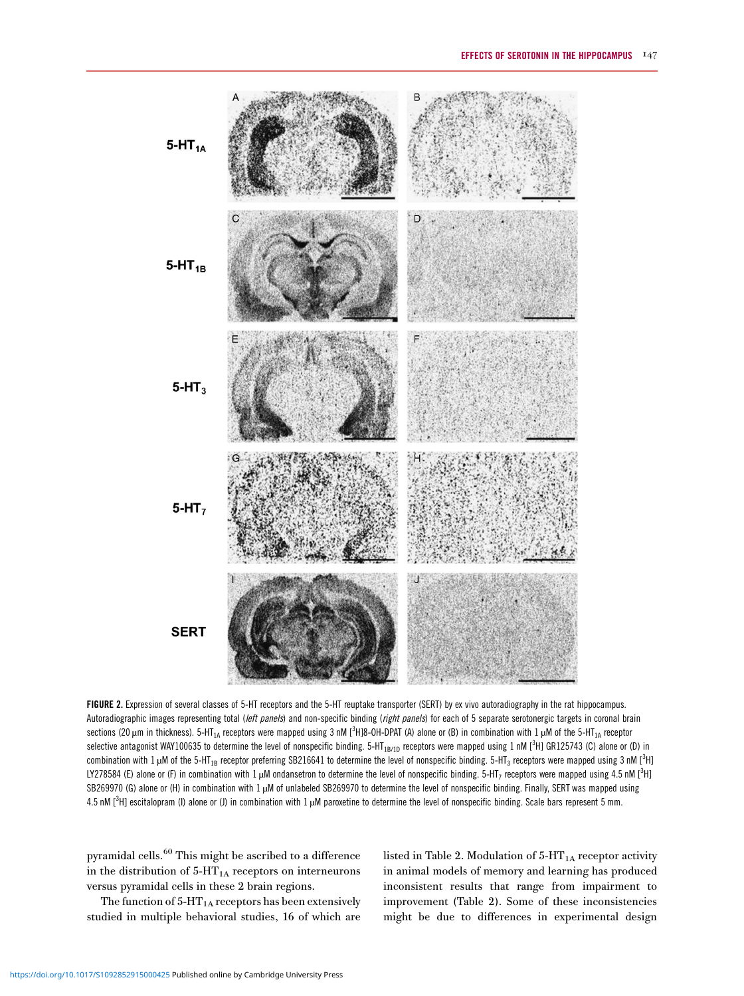<span id="page-4-0"></span>

FIGURE 2. Expression of several classes of 5-HT receptors and the 5-HT reuptake transporter (SERT) by ex vivo autoradiography in the rat hippocampus. Autoradiographic images representing total (left panels) and non-specific binding (right panels) for each of 5 separate serotonergic targets in coronal brain sections (20  $\mu$ m in thickness). 5-HT<sub>1A</sub> receptors were mapped using 3 nM [<sup>3</sup>H]8-OH-DPAT (A) alone or (B) in combination with 1  $\mu$ M of the 5-HT<sub>1A</sub> receptor selective antagonist WAY100635 to determine the level of nonspecific binding. 5-HT<sub>1B/1D</sub> receptors were mapped using 1 nM [<sup>3</sup>H] GR125743 (C) alone or (D) in combination with 1  $\mu$ M of the 5-HT $_{1B}$  receptor preferring SB216641 to determine the level of nonspecific binding. 5-HT $_3$  receptors were mapped using 3 nM [ $^3$ H] LY278584 (E) alone or (F) in combination with 1  $\mu$ M ondansetron to determine the level of nonspecific binding. 5-HT<sub>7</sub> receptors were mapped using 4.5 nM [<sup>3</sup>H] SB269970 (G) alone or (H) in combination with 1 µM of unlabeled SB269970 to determine the level of nonspecific binding. Finally, SERT was mapped using 4.5 nM  $[^3H]$  escitalopram (I) alone or (J) in combination with 1  $\mu$ M paroxetine to determine the level of nonspecific binding. Scale bars represent 5 mm.

pyramidal cells.[60](#page-13-0) This might be ascribed to a difference in the distribution of  $5-HT_{1A}$  receptors on interneurons versus pyramidal cells in these 2 brain regions.

The function of  $5-HT_{1A}$  receptors has been extensively studied in multiple behavioral studies, 16 of which are

listed in [Table 2](#page-5-0). Modulation of  $5-HT_{1A}$  receptor activity in animal models of memory and learning has produced inconsistent results that range from impairment to improvement [\(Table 2\)](#page-5-0). Some of these inconsistencies might be due to differences in experimental design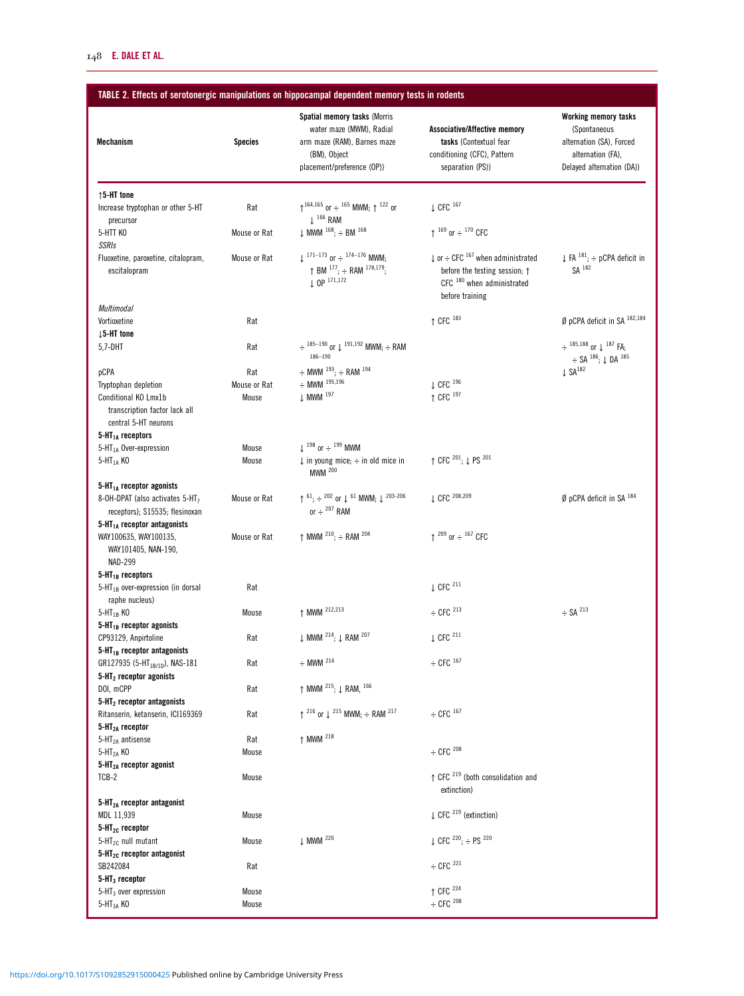# <span id="page-5-0"></span>TABLE 2. Effects of serotonergic manipulations on hippocampal dependent memory tests in rodents

| Mechanism                                                                                | <b>Species</b>      | <b>Spatial memory tasks (Morris</b><br>water maze (MWM), Radial<br>arm maze (RAM), Barnes maze<br>(BM), Object<br>placement/preference (OP)) | Associative/Affective memory<br>tasks (Contextual fear<br>conditioning (CFC), Pattern<br>separation (PS)) | <b>Working memory tasks</b><br>(Spontaneous<br>alternation (SA), Forced<br>alternation (FA),<br>Delayed alternation (DA)) |
|------------------------------------------------------------------------------------------|---------------------|----------------------------------------------------------------------------------------------------------------------------------------------|-----------------------------------------------------------------------------------------------------------|---------------------------------------------------------------------------------------------------------------------------|
| $\uparrow$ 5-HT tone                                                                     |                     |                                                                                                                                              |                                                                                                           |                                                                                                                           |
| Increase tryptophan or other 5-HT                                                        | Rat                 | $\uparrow$ 164,165 or $\div$ 165 MWM: $\uparrow$ 122 or                                                                                      | $\downarrow$ CFC $^{167}$                                                                                 |                                                                                                                           |
| precursor                                                                                |                     | $\perp$ <sup>166</sup> RAM                                                                                                                   |                                                                                                           |                                                                                                                           |
| 5-HTT KO                                                                                 | Mouse or Rat        | $\downarrow$ MWM $^{168}$ ; $\div$ BM $^{168}$                                                                                               | $\uparrow$ $^{169}$ or $\div$ $^{170}$ CFC                                                                |                                                                                                                           |
| <b>SSRIs</b><br>Fluoxetine, paroxetine, citalopram,                                      | Mouse or Rat        | $\pm$ 171–173 or $\div$ 174–176 MWM.                                                                                                         | $\downarrow$ or $\div$ CFC $^{167}$ when administrated                                                    | $\downarrow$ FA $^{181}$ ; $\div$ pCPA deficit in                                                                         |
| escitalopram                                                                             |                     | $\uparrow$ BM $^{177}$ ; $\div$ RAM $^{178,179}$ ;<br>$10P^{171,172}$                                                                        | before the testing session; $\uparrow$<br>CFC <sup>180</sup> when administrated<br>before training        | $SA$ $182$                                                                                                                |
| Multimodal                                                                               |                     |                                                                                                                                              |                                                                                                           |                                                                                                                           |
| Vortioxetine<br>$\downarrow$ 5-HT tone                                                   | Rat                 |                                                                                                                                              | $\uparrow$ CFC $^{183}$                                                                                   | $\emptyset$ pCPA deficit in SA $^{182,184}$                                                                               |
| 5,7-DHT                                                                                  | Rat                 | $\div$ 185-190 or $\downarrow$ 191,192 MWM; $\div$ RAM<br>$186 - 190$                                                                        |                                                                                                           | $\div$ 185,188 or $\downarrow$ 187 FA;                                                                                    |
|                                                                                          |                     |                                                                                                                                              |                                                                                                           | $\div$ SA $^{186}$ ; $\downarrow$ DA $^{185}$<br>$\downarrow$ SA $^{182}$                                                 |
| pCPA<br>Tryptophan depletion                                                             | Rat<br>Mouse or Rat | $\div$ MWM $^{193}$ ; $\div$ RAM $^{194}$<br>$\div$ MWM $^{195,196}$                                                                         | $\downarrow$ CFC $^{196}$                                                                                 |                                                                                                                           |
| Conditional KO Lmx1b                                                                     | Mouse               | $\downarrow$ MWM $^{197}$                                                                                                                    | ↑ CFC 197                                                                                                 |                                                                                                                           |
| transcription factor lack all<br>central 5-HT neurons                                    |                     |                                                                                                                                              |                                                                                                           |                                                                                                                           |
| $5-HT1A$ receptors                                                                       |                     |                                                                                                                                              |                                                                                                           |                                                                                                                           |
| 5-HT <sub>1A</sub> Over-expression                                                       | Mouse               | $\perp$ <sup>198</sup> or $\div$ <sup>199</sup> MWM                                                                                          | $\uparrow$ CFC $^{201}$ ; $\downarrow$ PS $^{201}$                                                        |                                                                                                                           |
| $5-HT1A$ KO                                                                              | Mouse               | $\downarrow$ in young mice; $\div$ in old mice in<br><b>MWM</b> 200                                                                          |                                                                                                           |                                                                                                                           |
| $5-HT1A$ receptor agonists                                                               |                     |                                                                                                                                              |                                                                                                           |                                                                                                                           |
| 8-OH-DPAT (also activates 5-HT <sub>7</sub><br>receptors); S15535; flesinoxan            | Mouse or Rat        | ↑ $61$ ; $\div$ $202$ or $\downarrow$ $61$ MWM; $\downarrow$ $203-206$<br>or $\div$ <sup>207</sup> RAM                                       | ↓ CFC 208,209                                                                                             | $\emptyset$ pCPA deficit in SA $^{184}$                                                                                   |
| $5-HT1A$ receptor antagonists<br>WAY100635, WAY100135,<br>WAY101405, NAN-190,<br>NAD-299 | Mouse or Rat        | $\uparrow$ MWM $^{210}$ ; $\div$ RAM $^{204}$                                                                                                | $\uparrow$ <sup>209</sup> or $\div$ <sup>167</sup> CFC                                                    |                                                                                                                           |
| $5-HT_{1B}$ receptors                                                                    |                     |                                                                                                                                              |                                                                                                           |                                                                                                                           |
| $5$ -HT <sub>1B</sub> over-expression (in dorsal<br>raphe nucleus)                       | Rat                 |                                                                                                                                              | $\downarrow$ CFC <sup>211</sup>                                                                           |                                                                                                                           |
| 5-HT <sub>1B</sub> KO                                                                    | Mouse               | ↑ MWM <sup>212,213</sup>                                                                                                                     | $\div$ CFC $^{213}$                                                                                       | $\div$ SA $^{213}$                                                                                                        |
| $5-HT_{1B}$ receptor agonists<br>CP93129, Anpirtoline                                    | Rat                 | $\downarrow$ MWM <sup>214</sup> ; $\downarrow$ RAM <sup>207</sup>                                                                            | $\downarrow$ CFC $^{211}$                                                                                 |                                                                                                                           |
| $5-HT_{1B}$ receptor antagonists                                                         |                     |                                                                                                                                              |                                                                                                           |                                                                                                                           |
| GR127935 (5-HT <sub>1B/1D</sub> ), NAS-181<br>$5-HT2$ receptor agonists                  | Rat                 | $\div$ MWM <sup>214</sup>                                                                                                                    | $\div$ CFC $^{167}$                                                                                       |                                                                                                                           |
| DOI, mCPP                                                                                | Rat                 | ↑ MWM <sup>215</sup> ; ↓ RAM, <sup>166</sup>                                                                                                 |                                                                                                           |                                                                                                                           |
| $5-HT2$ receptor antagonists                                                             |                     |                                                                                                                                              |                                                                                                           |                                                                                                                           |
| Ritanserin, ketanserin, ICI169369                                                        | Rat                 | $\uparrow$ <sup>216</sup> or $\downarrow$ <sup>215</sup> MWM; $\div$ RAM <sup>217</sup>                                                      | $\div$ CFC $^{167}$                                                                                       |                                                                                                                           |
| 5-HT <sub>2A</sub> receptor                                                              |                     |                                                                                                                                              |                                                                                                           |                                                                                                                           |
| $5-HT2A$ antisense                                                                       | Rat                 | ↑ MWM <sup>218</sup>                                                                                                                         |                                                                                                           |                                                                                                                           |
| $5-HT2A$ KO<br>5-HT <sub>2A</sub> receptor agonist                                       | Mouse               |                                                                                                                                              | $\div$ CFC $^{208}$                                                                                       |                                                                                                                           |
| TCB-2                                                                                    | Mouse               |                                                                                                                                              | $\uparrow$ CFC $^{219}$ (both consolidation and                                                           |                                                                                                                           |
|                                                                                          |                     |                                                                                                                                              | extinction)                                                                                               |                                                                                                                           |
| $5-HT2A$ receptor antagonist                                                             |                     |                                                                                                                                              |                                                                                                           |                                                                                                                           |
| MDL 11,939                                                                               | Mouse               |                                                                                                                                              | $\downarrow$ CFC <sup>219</sup> (extinction)                                                              |                                                                                                                           |
| $5-HT_{2C}$ receptor                                                                     |                     |                                                                                                                                              |                                                                                                           |                                                                                                                           |
| $5-HT_{2C}$ null mutant                                                                  | Mouse               | ↓ MWM <sup>220</sup>                                                                                                                         | ↓ CFC $^{220}$ ; ÷ PS $^{220}$                                                                            |                                                                                                                           |
| $5-HT_{2G}$ receptor antagonist<br>SB242084                                              | Rat                 |                                                                                                                                              | $\div$ CFC <sup>221</sup>                                                                                 |                                                                                                                           |
| $5-HT_3$ receptor                                                                        |                     |                                                                                                                                              |                                                                                                           |                                                                                                                           |
| $5$ -HT <sub>3</sub> over expression                                                     | Mouse               |                                                                                                                                              | ↑ CFC <sup>224</sup>                                                                                      |                                                                                                                           |
| $5-HT3A$ KO                                                                              | Mouse               |                                                                                                                                              | $\div$ CFC $^{208}$                                                                                       |                                                                                                                           |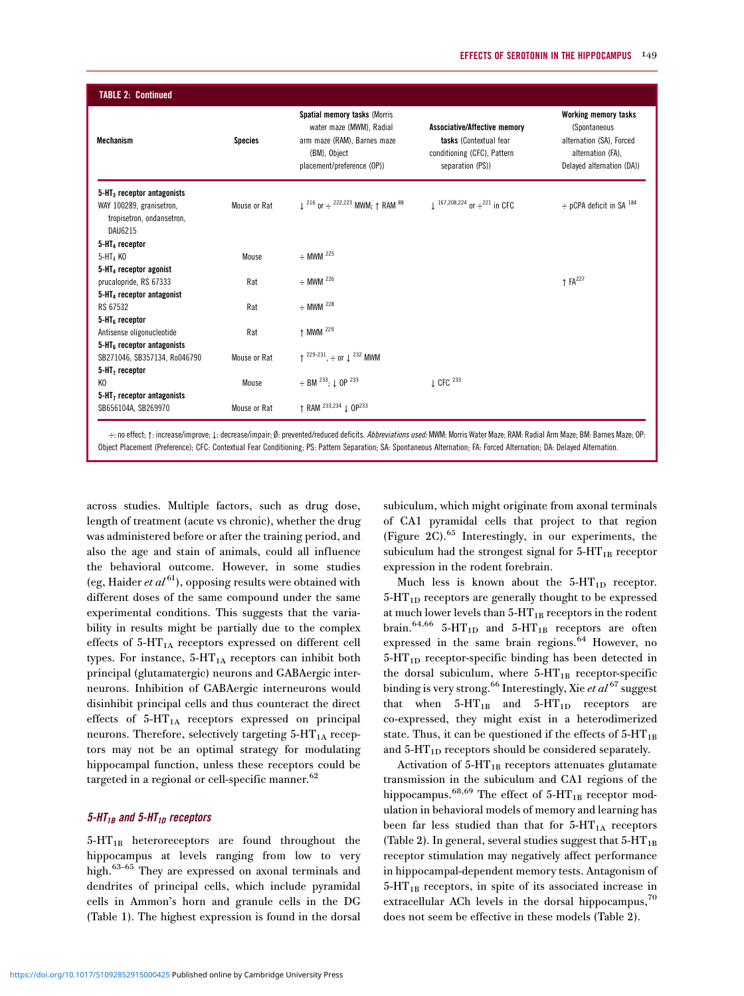| <b>Mechanism</b>                                         | <b>Species</b> | <b>Spatial memory tasks (Morris</b><br>water maze (MWM), Radial<br>arm maze (RAM), Barnes maze<br>(BM), Object<br>placement/preference (OP)) | Associative/Affective memory<br>tasks (Contextual fear<br>conditioning (CFC), Pattern<br>separation (PS)) | <b>Working memory tasks</b><br>(Spontaneous<br>alternation (SA), Forced<br>alternation (FA),<br>Delayed alternation (DA)) |
|----------------------------------------------------------|----------------|----------------------------------------------------------------------------------------------------------------------------------------------|-----------------------------------------------------------------------------------------------------------|---------------------------------------------------------------------------------------------------------------------------|
| $5-HT3$ receptor antagonists<br>WAY 100289, granisetron, | Mouse or Rat   | $\downarrow$ <sup>216</sup> or $\div$ <sup>222,223</sup> MWM; $\uparrow$ RAM <sup>88</sup>                                                   | $\downarrow$ <sup>167,208,224</sup> or $\div$ <sup>221</sup> in CFC                                       | $\div$ pCPA deficit in SA $^{184}$                                                                                        |
| tropisetron, ondansetron,<br>DAU6215                     |                |                                                                                                                                              |                                                                                                           |                                                                                                                           |
| $5-HT4$ receptor                                         |                |                                                                                                                                              |                                                                                                           |                                                                                                                           |
| $5-HT4$ KO                                               | Mouse          | $\div$ MWM <sup>225</sup>                                                                                                                    |                                                                                                           |                                                                                                                           |
| $5-HT4$ receptor agonist                                 |                |                                                                                                                                              |                                                                                                           |                                                                                                                           |
| prucalopride, RS 67333                                   | Rat            | $\div$ MWM <sup>226</sup>                                                                                                                    |                                                                                                           | $\uparrow$ FA <sup>227</sup>                                                                                              |
| $5-HT4$ receptor antagonist                              |                |                                                                                                                                              |                                                                                                           |                                                                                                                           |
| RS 67532                                                 | Rat            | $\div$ MWM <sup>228</sup>                                                                                                                    |                                                                                                           |                                                                                                                           |
| $5-HT6$ receptor                                         |                |                                                                                                                                              |                                                                                                           |                                                                                                                           |
| Antisense oligonucleotide                                | Rat            | ↑ MWM <sup>229</sup>                                                                                                                         |                                                                                                           |                                                                                                                           |
| $5-HT6$ receptor antagonists                             |                |                                                                                                                                              |                                                                                                           |                                                                                                                           |
| SB271046, SB357134, Ro046790                             | Mouse or Rat   | $\uparrow$ <sup>229-231</sup> , $\div$ or $\downarrow$ <sup>232</sup> MWM                                                                    |                                                                                                           |                                                                                                                           |
| $5-HT7$ receptor<br>K <sub>0</sub>                       | Mouse          | $\div$ BM <sup>233</sup> ; $\downarrow$ OP <sup>233</sup>                                                                                    | $\downarrow$ CFC $^{233}$                                                                                 |                                                                                                                           |
| $5-HT7$ receptor antagonists                             |                |                                                                                                                                              |                                                                                                           |                                                                                                                           |
| SB656104A, SB269970                                      | Mouse or Rat   | ↑ RAM <sup>233,234</sup> ↓ 0P <sup>233</sup>                                                                                                 |                                                                                                           |                                                                                                                           |

Object Placement (Preference); CFC: Contextual Fear Conditioning; PS: Pattern Separation; SA: Spontaneous Alternation; FA: Forced Alternation; DA: Delayed Alternation.

across studies. Multiple factors, such as drug dose, length of treatment (acute vs chronic), whether the drug was administered before or after the training period, and also the age and stain of animals, could all influence the behavioral outcome. However, in some studies (eg, Haider *et al*<sup>[61](#page-13-0)</sup>), opposing results were obtained with different doses of the same compound under the same experimental conditions. This suggests that the variability in results might be partially due to the complex effects of  $5-HT_{1A}$  receptors expressed on different cell types. For instance,  $5-HT_{1A}$  receptors can inhibit both principal (glutamatergic) neurons and GABAergic interneurons. Inhibition of GABAergic interneurons would disinhibit principal cells and thus counteract the direct effects of  $5-HT_{1A}$  receptors expressed on principal neurons. Therefore, selectively targeting  $5-HT<sub>1A</sub>$  receptors may not be an optimal strategy for modulating hippocampal function, unless these receptors could be targeted in a regional or cell-specific manner.<sup>62</sup>

#### $5$ -HT<sub>1B</sub> and  $5$ -HT<sub>1D</sub> receptors

5-HT<sub>1B</sub> heteroreceptors are found throughout the hippocampus at levels ranging from low to very high.[63](#page-13-0)–[65](#page-13-0) They are expressed on axonal terminals and dendrites of principal cells, which include pyramidal cells in Ammon's horn and granule cells in the DG [\(Table 1](#page-3-0)). The highest expression is found in the dorsal subiculum, which might originate from axonal terminals of CA1 pyramidal cells that project to that region [\(Figure 2C](#page-4-0)).[65](#page-13-0) Interestingly, in our experiments, the subiculum had the strongest signal for  $5-HT_{1B}$  receptor expression in the rodent forebrain.

Much less is known about the  $5-HT_{1D}$  receptor.  $5-HT_{1D}$  receptors are generally thought to be expressed at much lower levels than  $5-HT_{1B}$  receptors in the rodent brain.<sup>[64,66](#page-13-0)</sup> 5-HT<sub>1D</sub> and 5-HT<sub>1B</sub> receptors are often expressed in the same brain regions.<sup>[64](#page-13-0)</sup> However, no  $5-HT_{1D}$  receptor-specific binding has been detected in the dorsal subiculum, where  $5-HT_{1B}$  receptor-specific binding is very strong.<sup>[66](#page-13-0)</sup> Interestingly, Xie et  $al^{67}$  $al^{67}$  $al^{67}$  suggest that when  $5-HT_{1B}$  and  $5-HT_{1D}$  receptors are co-expressed, they might exist in a heterodimerized state. Thus, it can be questioned if the effects of  $5-HT_{1B}$ and  $5-\text{HT}_{1D}$  receptors should be considered separately.

Activation of  $5-HT_{1B}$  receptors attenuates glutamate transmission in the subiculum and CA1 regions of the hippocampus.<sup>[68,69](#page-13-0)</sup> The effect of  $5-HT_{1B}$  receptor modulation in behavioral models of memory and learning has been far less studied than that for  $5-HT_{1A}$  receptors [\(Table 2](#page-5-0)). In general, several studies suggest that  $5-HT_{1B}$ receptor stimulation may negatively affect performance in hippocampal-dependent memory tests. Antagonism of  $5-HT_{1B}$  receptors, in spite of its associated increase in extracellular ACh levels in the dorsal hippocampus,<sup>70</sup> does not seem be effective in these models ([Table 2](#page-5-0)).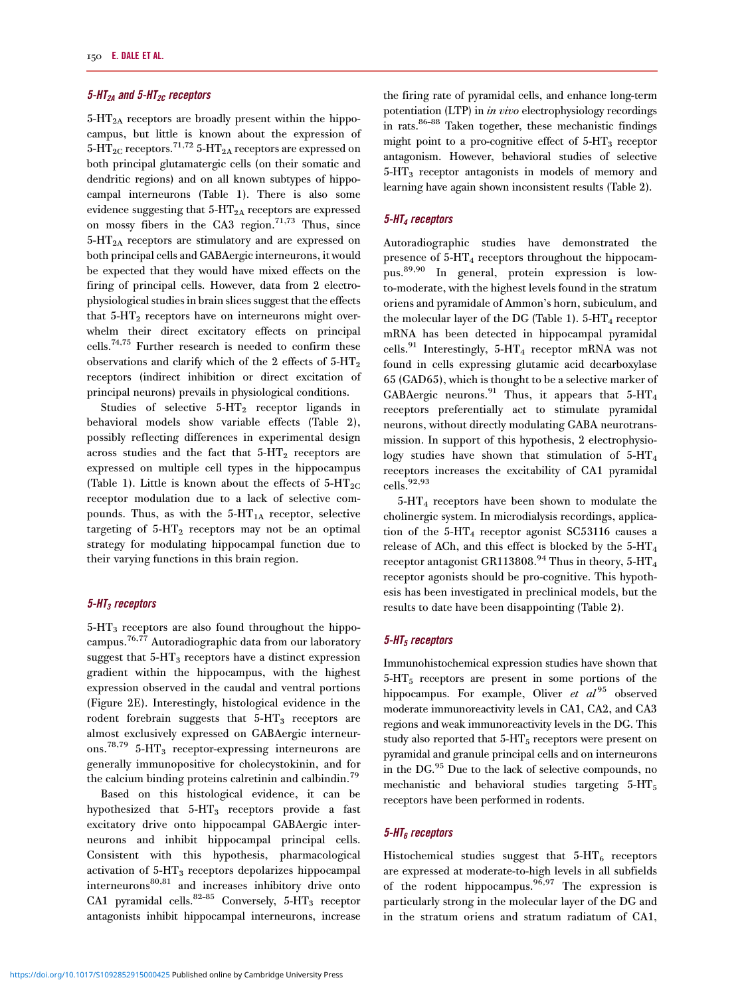#### 5-HT<sub>2A</sub> and 5-HT<sub>2C</sub> receptors

 $5-HT_{2A}$  receptors are broadly present within the hippocampus, but little is known about the expression of  $5-\overline{HT}_{2C}$  receptors.<sup>71,72</sup>  $5-\overline{HT}_{2A}$  receptors are expressed on both principal glutamatergic cells (on their somatic and dendritic regions) and on all known subtypes of hippocampal interneurons [\(Table 1](#page-3-0)). There is also some evidence suggesting that  $5-HT_{2A}$  receptors are expressed on mossy fibers in the CA3 region.<sup>71,73</sup> Thus, since 5-HT2A receptors are stimulatory and are expressed on both principal cells and GABAergic interneurons, it would be expected that they would have mixed effects on the firing of principal cells. However, data from 2 electrophysiological studies in brain slices suggest that the effects that  $5 - HT_2$  receptors have on interneurons might overwhelm their direct excitatory effects on principal cells[.74,75](#page-13-0) Further research is needed to confirm these observations and clarify which of the 2 effects of  $5-HT<sub>2</sub>$ receptors (indirect inhibition or direct excitation of principal neurons) prevails in physiological conditions.

Studies of selective  $5-HT_2$  receptor ligands in behavioral models show variable effects [\(Table 2\)](#page-5-0), possibly reflecting differences in experimental design across studies and the fact that  $5-HT_2$  receptors are expressed on multiple cell types in the hippocampus [\(Table 1\)](#page-3-0). Little is known about the effects of  $5-HT_{2C}$ receptor modulation due to a lack of selective compounds. Thus, as with the  $5-HT_{1A}$  receptor, selective targeting of  $5-HT_2$  receptors may not be an optimal strategy for modulating hippocampal function due to their varying functions in this brain region.

#### $5$ -HT<sub>3</sub> receptors

 $5-\text{HT}_3$  receptors are also found throughout the hippocampus.[76,77](#page-13-0) Autoradiographic data from our laboratory suggest that  $5-HT_3$  receptors have a distinct expression gradient within the hippocampus, with the highest expression observed in the caudal and ventral portions [\(Figure 2E\)](#page-4-0). Interestingly, histological evidence in the rodent forebrain suggests that  $5-HT_3$  receptors are almost exclusively expressed on GABAergic interneur-ons.<sup>[78,79](#page-13-0)</sup> 5-HT<sub>3</sub> receptor-expressing interneurons are generally immunopositive for cholecystokinin, and for the calcium binding proteins calretinin and calbindin.<sup>[79](#page-13-0)</sup>

Based on this histological evidence, it can be hypothesized that  $5-HT_3$  receptors provide a fast excitatory drive onto hippocampal GABAergic interneurons and inhibit hippocampal principal cells. Consistent with this hypothesis, pharmacological activation of 5-HT3 receptors depolarizes hippocampal interneurons<sup>[80,81](#page-13-0)</sup> and increases inhibitory drive onto CA1 pyramidal cells.<sup>[82](#page-13-0)-[85](#page-13-0)</sup> Conversely,  $5-HT_3$  receptor antagonists inhibit hippocampal interneurons, increase the firing rate of pyramidal cells, and enhance long-term potentiation (LTP) in in vivo electrophysiology recordings in rats[.86](#page-13-0)–[88](#page-14-0) Taken together, these mechanistic findings might point to a pro-cognitive effect of  $5-HT_3$  receptor antagonism. However, behavioral studies of selective 5-HT<sub>3</sub> receptor antagonists in models of memory and learning have again shown inconsistent results ([Table 2](#page-5-0)).

#### 5-HT4 receptors

Autoradiographic studies have demonstrated the presence of  $5-HT_4$  receptors throughout the hippocampus[.89,90](#page-14-0) In general, protein expression is lowto-moderate, with the highest levels found in the stratum oriens and pyramidale of Ammon's horn, subiculum, and the molecular layer of the DG [\(Table 1\)](#page-3-0).  $5-\text{HT}_4$  receptor mRNA has been detected in hippocampal pyramidal cells.<sup>[91](#page-14-0)</sup> Interestingly, 5-HT<sub>4</sub> receptor mRNA was not found in cells expressing glutamic acid decarboxylase 65 (GAD65), which is thought to be a selective marker of GABAergic neurons.<sup>[91](#page-14-0)</sup> Thus, it appears that  $5-HT<sub>4</sub>$ receptors preferentially act to stimulate pyramidal neurons, without directly modulating GABA neurotransmission. In support of this hypothesis, 2 electrophysiology studies have shown that stimulation of  $5-HT_4$ receptors increases the excitability of CA1 pyramidal  $\text{cells.}^{92,93}$  $\text{cells.}^{92,93}$  $\text{cells.}^{92,93}$ 

5-HT4 receptors have been shown to modulate the cholinergic system. In microdialysis recordings, application of the  $5-\text{HT}_4$  receptor agonist SC53116 causes a release of ACh, and this effect is blocked by the  $5-HT_4$ receptor antagonist GR113808.<sup>[94](#page-14-0)</sup> Thus in theory, 5-HT<sub>4</sub> receptor agonists should be pro-cognitive. This hypothesis has been investigated in preclinical models, but the results to date have been disappointing ([Table 2](#page-5-0)).

#### $5$ -HT<sub>5</sub> receptors

Immunohistochemical expression studies have shown that  $5-\text{HT}_5$  receptors are present in some portions of the hippocampus. For example, Oliver et  $al^{95}$  $al^{95}$  $al^{95}$  observed moderate immunoreactivity levels in CA1, CA2, and CA3 regions and weak immunoreactivity levels in the DG. This study also reported that  $5-HT_5$  receptors were present on pyramidal and granule principal cells and on interneurons in the DG.[95](#page-14-0) Due to the lack of selective compounds, no mechanistic and behavioral studies targeting  $5-HT_5$ receptors have been performed in rodents.

#### $5$ -HT $_6$  receptors

Histochemical studies suggest that  $5-HT_6$  receptors are expressed at moderate-to-high levels in all subfields of the rodent hippocampus.<sup>96,97</sup> The expression is particularly strong in the molecular layer of the DG and in the stratum oriens and stratum radiatum of CA1,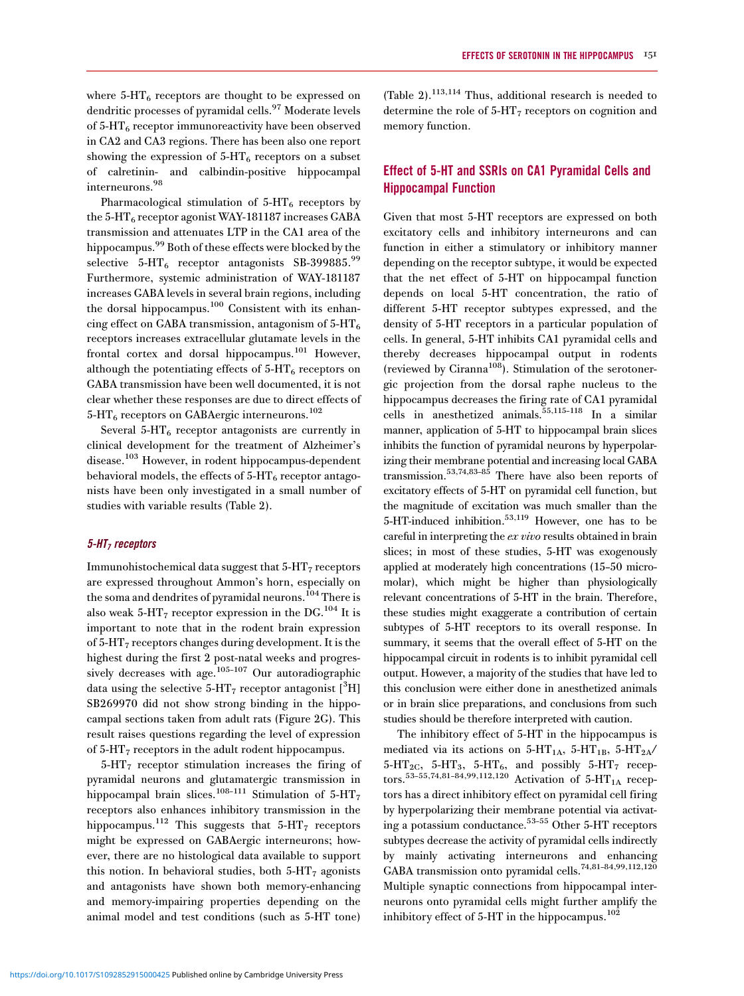where  $5-\text{HT}_6$  receptors are thought to be expressed on dendritic processes of pyramidal cells.<sup>[97](#page-14-0)</sup> Moderate levels of  $5-\text{HT}_6$  receptor immunoreactivity have been observed in CA2 and CA3 regions. There has been also one report showing the expression of  $5-HT_6$  receptors on a subset of calretinin- and calbindin-positive hippocampal interneurons.[98](#page-14-0)

Pharmacological stimulation of  $5-HT<sub>6</sub>$  receptors by the  $5-\text{HT}_6$  receptor agonist WAY-181187 increases GABA transmission and attenuates LTP in the CA1 area of the hippocampus.<sup>[99](#page-14-0)</sup> Both of these effects were blocked by the selective  $5-\text{HT}_6$  receptor antagonists SB-3[99](#page-14-0)885.99 Furthermore, systemic administration of WAY-181187 increases GABA levels in several brain regions, including the dorsal hippocampus.[100](#page-14-0) Consistent with its enhancing effect on GABA transmission, antagonism of  $5-HT_6$ receptors increases extracellular glutamate levels in the frontal cortex and dorsal hippocampus.<sup>[101](#page-14-0)</sup> However, although the potentiating effects of  $5-\text{HT}_6$  receptors on GABA transmission have been well documented, it is not clear whether these responses are due to direct effects of  $5$ -HT<sub>6</sub> receptors on GABAergic interneurons.<sup>[102](#page-14-0)</sup>

Several  $5-\text{HT}_6$  receptor antagonists are currently in clinical development for the treatment of Alzheimer's disease.<sup>[103](#page-14-0)</sup> However, in rodent hippocampus-dependent behavioral models, the effects of  $5-HT_6$  receptor antagonists have been only investigated in a small number of studies with variable results [\(Table 2](#page-5-0)).

#### $5$ -HT<sub>7</sub> receptors

Immunohistochemical data suggest that  $5-\text{HT}_7$  receptors are expressed throughout Ammon's horn, especially on the soma and dendrites of pyramidal neurons.<sup>[104](#page-14-0)</sup> There is also weak 5-HT<sub>7</sub> receptor expression in the DG.<sup>[104](#page-14-0)</sup> It is important to note that in the rodent brain expression of 5-HT7 receptors changes during development. It is the highest during the first 2 post-natal weeks and progres-sively decreases with age.<sup>[105](#page-14-0)-[107](#page-14-0)</sup> Our autoradiographic data using the selective  $5-HT_7$  receptor antagonist  $[^3H]$ SB269970 did not show strong binding in the hippocampal sections taken from adult rats [\(Figure 2G](#page-4-0)). This result raises questions regarding the level of expression of  $5-\text{HT}_7$  receptors in the adult rodent hippocampus.

 $5-HT<sub>7</sub>$  receptor stimulation increases the firing of pyramidal neurons and glutamatergic transmission in hippocampal brain slices.<sup>[108](#page-14-0)-[111](#page-14-0)</sup> Stimulation of  $5-HT<sub>7</sub>$ receptors also enhances inhibitory transmission in the hippocampus.<sup>[112](#page-14-0)</sup> This suggests that  $5-HT<sub>7</sub>$  receptors might be expressed on GABAergic interneurons; however, there are no histological data available to support this notion. In behavioral studies, both  $5-HT<sub>7</sub>$  agonists and antagonists have shown both memory-enhancing and memory-impairing properties depending on the animal model and test conditions (such as 5-HT tone)

(Table  $2$ ).<sup>[113,114](#page-14-0)</sup> Thus, additional research is needed to determine the role of  $5-HT<sub>7</sub>$  receptors on cognition and memory function.

## Effect of 5-HT and SSRIs on CA1 Pyramidal Cells and Hippocampal Function

Given that most 5-HT receptors are expressed on both excitatory cells and inhibitory interneurons and can function in either a stimulatory or inhibitory manner depending on the receptor subtype, it would be expected that the net effect of 5-HT on hippocampal function depends on local 5-HT concentration, the ratio of different 5-HT receptor subtypes expressed, and the density of 5-HT receptors in a particular population of cells. In general, 5-HT inhibits CA1 pyramidal cells and thereby decreases hippocampal output in rodents (reviewed by Ciranna<sup>108</sup>). Stimulation of the serotonergic projection from the dorsal raphe nucleus to the hippocampus decreases the firing rate of CA1 pyramidal cells in anesthetized animals.<sup>55[,115](#page-14-0)-[118](#page-14-0)</sup> In a similar manner, application of 5-HT to hippocampal brain slices inhibits the function of pyramidal neurons by hyperpolarizing their membrane potential and increasing local GABA transmission.[53,74,83](#page-13-0)–[85](#page-13-0) There have also been reports of excitatory effects of 5-HT on pyramidal cell function, but the magnitude of excitation was much smaller than the 5-HT-induced inhibition.[53,](#page-13-0)[119](#page-14-0) However, one has to be careful in interpreting the ex vivo results obtained in brain slices; in most of these studies, 5-HT was exogenously applied at moderately high concentrations (15–50 micromolar), which might be higher than physiologically relevant concentrations of 5-HT in the brain. Therefore, these studies might exaggerate a contribution of certain subtypes of 5-HT receptors to its overall response. In summary, it seems that the overall effect of 5-HT on the hippocampal circuit in rodents is to inhibit pyramidal cell output. However, a majority of the studies that have led to this conclusion were either done in anesthetized animals or in brain slice preparations, and conclusions from such studies should be therefore interpreted with caution.

The inhibitory effect of 5-HT in the hippocampus is mediated via its actions on  $5-HT_{1A}$ ,  $5-HT_{1B}$ ,  $5-HT_{2A}/$  $5-HT_{2C}$ ,  $5-HT_3$ ,  $5-HT_6$ , and possibly  $5-HT_7$  recep-tors.<sup>[53](#page-13-0)–[55,74,81](#page-13-0)–[84,](#page-13-0)[99,112,120](#page-14-0)</sup> Activation of 5-HT<sub>1A</sub> receptors has a direct inhibitory effect on pyramidal cell firing by hyperpolarizing their membrane potential via activating a potassium conductance[.53](#page-13-0)–[55](#page-13-0) Other 5-HT receptors subtypes decrease the activity of pyramidal cells indirectly by mainly activating interneurons and enhancing GABA transmission onto pyramidal cells[.74,81](#page-13-0)–[84](#page-13-0)[,99,112,120](#page-14-0) Multiple synaptic connections from hippocampal interneurons onto pyramidal cells might further amplify the inhibitory effect of 5-HT in the hippocampus.<sup>[102](#page-14-0)</sup>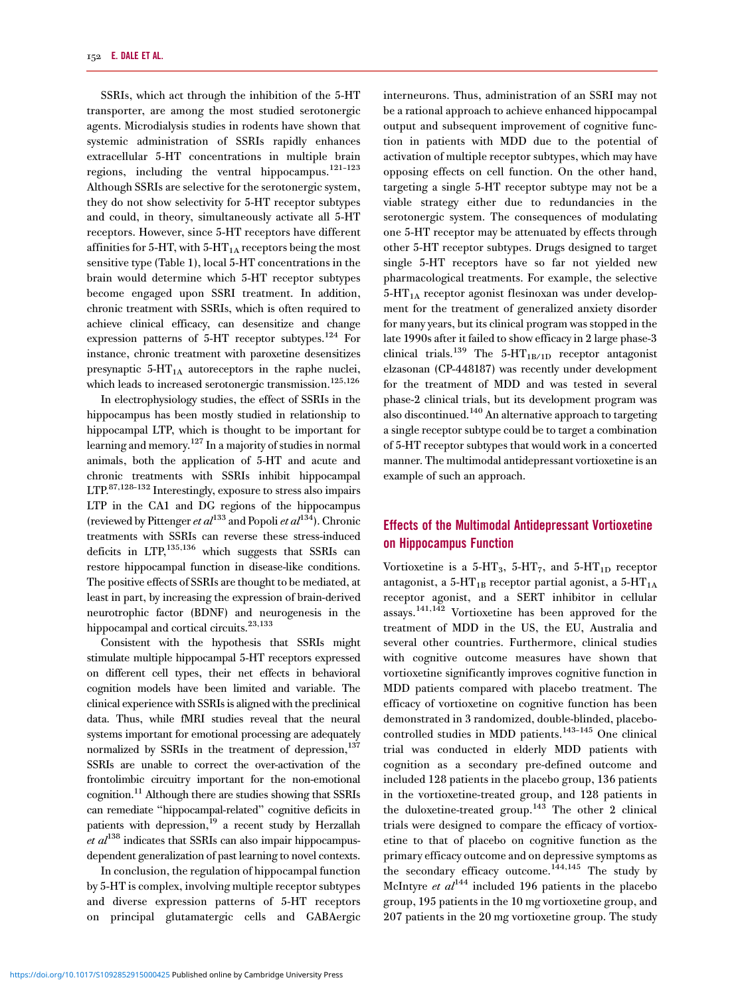SSRIs, which act through the inhibition of the 5-HT transporter, are among the most studied serotonergic agents. Microdialysis studies in rodents have shown that systemic administration of SSRIs rapidly enhances extracellular 5-HT concentrations in multiple brain regions, including the ventral hippocampus.<sup>[121](#page-14-0)-[123](#page-14-0)</sup> Although SSRIs are selective for the serotonergic system, they do not show selectivity for 5-HT receptor subtypes and could, in theory, simultaneously activate all 5-HT receptors. However, since 5-HT receptors have different affinities for 5-HT, with  $5$ -HT<sub>1A</sub> receptors being the most sensitive type [\(Table 1](#page-3-0)), local 5-HT concentrations in the brain would determine which 5-HT receptor subtypes become engaged upon SSRI treatment. In addition, chronic treatment with SSRIs, which is often required to achieve clinical efficacy, can desensitize and change expression patterns of 5-HT receptor subtypes[.124](#page-14-0) For instance, chronic treatment with paroxetine desensitizes presynaptic  $5-HT_{1A}$  autoreceptors in the raphe nuclei, which leads to increased serotonergic transmission.<sup>125[,126](#page-15-0)</sup>

In electrophysiology studies, the effect of SSRIs in the hippocampus has been mostly studied in relationship to hippocampal LTP, which is thought to be important for learning and memory[.127](#page-15-0) In a majority of studies in normal animals, both the application of 5-HT and acute and chronic treatments with SSRIs inhibit hippocampal LTP[.87](#page-13-0)[,128](#page-15-0)–[132](#page-15-0) Interestingly, exposure to stress also impairs LTP in the CA1 and DG regions of the hippocampus (reviewed by Pittenger et  $al^{133}$  $al^{133}$  $al^{133}$  and Popoli et  $al^{134}$  $al^{134}$  $al^{134}$ ). Chronic treatments with SSRIs can reverse these stress-induced deficits in LTP,[135,136](#page-15-0) which suggests that SSRIs can restore hippocampal function in disease-like conditions. The positive effects of SSRIs are thought to be mediated, at least in part, by increasing the expression of brain-derived neurotrophic factor (BDNF) and neurogenesis in the hippocampal and cortical circuits.<sup>[23,](#page-12-0)[133](#page-15-0)</sup>

Consistent with the hypothesis that SSRIs might stimulate multiple hippocampal 5-HT receptors expressed on different cell types, their net effects in behavioral cognition models have been limited and variable. The clinical experience with SSRIs is aligned with the preclinical data. Thus, while fMRI studies reveal that the neural systems important for emotional processing are adequately normalized by SSRIs in the treatment of depression,<sup>137</sup> SSRIs are unable to correct the over-activation of the frontolimbic circuitry important for the non-emotional cognition[.11](#page-12-0) Although there are studies showing that SSRIs can remediate "hippocampal-related" cognitive deficits in patients with depression, $^{19}$  a recent study by Herzallah et  $al^{138}$  $al^{138}$  $al^{138}$  indicates that SSRIs can also impair hippocampusdependent generalization of past learning to novel contexts.

In conclusion, the regulation of hippocampal function by 5-HT is complex, involving multiple receptor subtypes and diverse expression patterns of 5-HT receptors on principal glutamatergic cells and GABAergic

interneurons. Thus, administration of an SSRI may not be a rational approach to achieve enhanced hippocampal output and subsequent improvement of cognitive function in patients with MDD due to the potential of activation of multiple receptor subtypes, which may have opposing effects on cell function. On the other hand, targeting a single 5-HT receptor subtype may not be a viable strategy either due to redundancies in the serotonergic system. The consequences of modulating one 5-HT receptor may be attenuated by effects through other 5-HT receptor subtypes. Drugs designed to target single 5-HT receptors have so far not yielded new pharmacological treatments. For example, the selective  $5-HT<sub>1A</sub>$  receptor agonist flesinoxan was under development for the treatment of generalized anxiety disorder for many years, but its clinical program was stopped in the late 1990s after it failed to show efficacy in 2 large phase-3 clinical trials.<sup>139</sup> The 5-HT<sub>1B/1D</sub> receptor antagonist elzasonan (CP-448187) was recently under development for the treatment of MDD and was tested in several phase-2 clinical trials, but its development program was also discontinued.<sup>[140](#page-15-0)</sup> An alternative approach to targeting a single receptor subtype could be to target a combination of 5-HT receptor subtypes that would work in a concerted manner. The multimodal antidepressant vortioxetine is an example of such an approach.

### Effects of the Multimodal Antidepressant Vortioxetine on Hippocampus Function

Vortioxetine is a 5-HT<sub>3</sub>, 5-HT<sub>7</sub>, and 5-HT<sub>1D</sub> receptor antagonist, a 5-HT<sub>1B</sub> receptor partial agonist, a 5-HT<sub>1A</sub> receptor agonist, and a SERT inhibitor in cellular assays.[141,142](#page-15-0) Vortioxetine has been approved for the treatment of MDD in the US, the EU, Australia and several other countries. Furthermore, clinical studies with cognitive outcome measures have shown that vortioxetine significantly improves cognitive function in MDD patients compared with placebo treatment. The efficacy of vortioxetine on cognitive function has been demonstrated in 3 randomized, double-blinded, placebo-controlled studies in MDD patients.<sup>[143](#page-15-0)-[145](#page-15-0)</sup> One clinical trial was conducted in elderly MDD patients with cognition as a secondary pre-defined outcome and included 128 patients in the placebo group, 136 patients in the vortioxetine-treated group, and 128 patients in the duloxetine-treated group.<sup>[143](#page-15-0)</sup> The other 2 clinical trials were designed to compare the efficacy of vortioxetine to that of placebo on cognitive function as the primary efficacy outcome and on depressive symptoms as the secondary efficacy outcome.<sup>144,145</sup> The study by McIntyre et  $al^{144}$  $al^{144}$  $al^{144}$  included 196 patients in the placebo group, 195 patients in the 10 mg vortioxetine group, and 207 patients in the 20 mg vortioxetine group. The study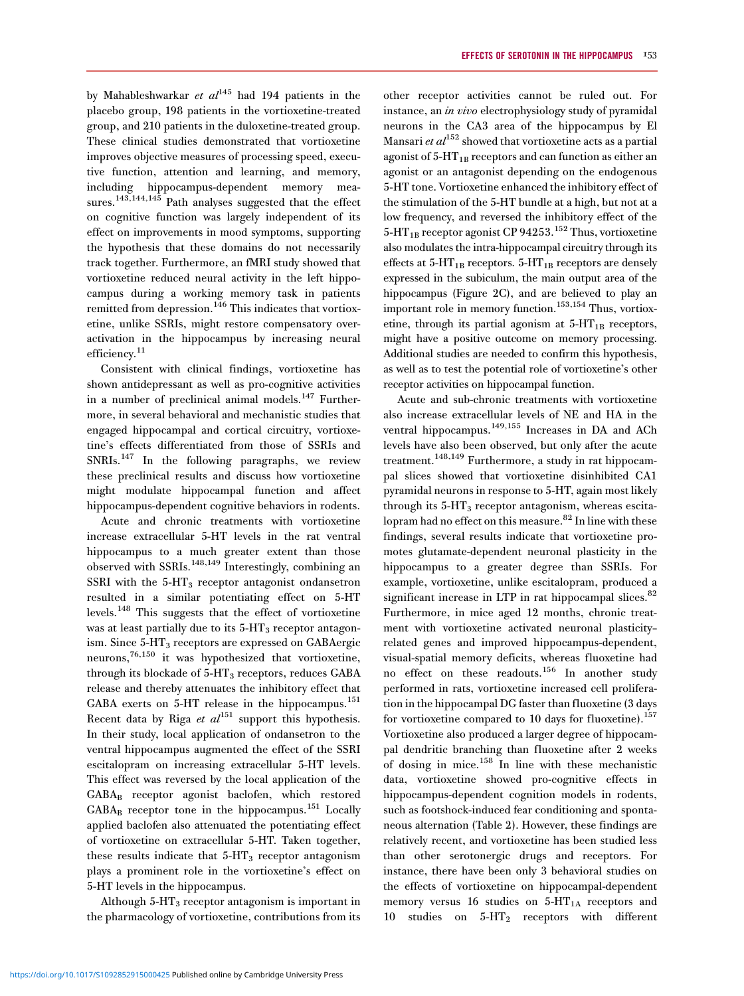by Mahableshwarkar et  $al^{145}$  $al^{145}$  $al^{145}$  had 194 patients in the placebo group, 198 patients in the vortioxetine-treated group, and 210 patients in the duloxetine-treated group. These clinical studies demonstrated that vortioxetine improves objective measures of processing speed, executive function, attention and learning, and memory, including hippocampus-dependent memory mea-sures.<sup>[143,144,145](#page-15-0)</sup> Path analyses suggested that the effect on cognitive function was largely independent of its effect on improvements in mood symptoms, supporting the hypothesis that these domains do not necessarily track together. Furthermore, an fMRI study showed that vortioxetine reduced neural activity in the left hippocampus during a working memory task in patients remitted from depression.<sup>[146](#page-15-0)</sup> This indicates that vortioxetine, unlike SSRIs, might restore compensatory overactivation in the hippocampus by increasing neural efficiency.<sup>11</sup>

Consistent with clinical findings, vortioxetine has shown antidepressant as well as pro-cognitive activities in a number of preclinical animal models.<sup>[147](#page-15-0)</sup> Furthermore, in several behavioral and mechanistic studies that engaged hippocampal and cortical circuitry, vortioxetine's effects differentiated from those of SSRIs and SNRIs.<sup>[147](#page-15-0)</sup> In the following paragraphs, we review these preclinical results and discuss how vortioxetine might modulate hippocampal function and affect hippocampus-dependent cognitive behaviors in rodents.

Acute and chronic treatments with vortioxetine increase extracellular 5-HT levels in the rat ventral hippocampus to a much greater extent than those observed with SSRIs. $^{148,149}$  $^{148,149}$  $^{148,149}$  Interestingly, combining an SSRI with the  $5-HT_3$  receptor antagonist ondansetron resulted in a similar potentiating effect on 5-HT levels.[148](#page-15-0) This suggests that the effect of vortioxetine was at least partially due to its  $5-HT_3$  receptor antagonism. Since 5-HT<sub>3</sub> receptors are expressed on GABAergic neurons,[76](#page-13-0)[,150](#page-15-0) it was hypothesized that vortioxetine, through its blockade of  $5-HT_3$  receptors, reduces GABA release and thereby attenuates the inhibitory effect that GABA exerts on  $5-HT$  release in the hippocampus.<sup>[151](#page-15-0)</sup> Recent data by Riga et  $al^{151}$  $al^{151}$  $al^{151}$  support this hypothesis. In their study, local application of ondansetron to the ventral hippocampus augmented the effect of the SSRI escitalopram on increasing extracellular 5‐HT levels. This effect was reversed by the local application of the GABAB receptor agonist baclofen, which restored  $GABA_B$  receptor tone in the hippocampus.<sup>[151](#page-15-0)</sup> Locally applied baclofen also attenuated the potentiating effect of vortioxetine on extracellular 5‐HT. Taken together, these results indicate that  $5-HT_3$  receptor antagonism plays a prominent role in the vortioxetine's effect on 5-HT levels in the hippocampus.

Although  $5-HT<sub>3</sub>$  receptor antagonism is important in the pharmacology of vortioxetine, contributions from its

other receptor activities cannot be ruled out. For instance, an in vivo electrophysiology study of pyramidal neurons in the CA3 area of the hippocampus by El Mansari et  $al^{152}$  $al^{152}$  $al^{152}$  showed that vortioxetine acts as a partial agonist of  $5-HT_{1B}$  receptors and can function as either an agonist or an antagonist depending on the endogenous 5-HT tone. Vortioxetine enhanced the inhibitory effect of the stimulation of the 5-HT bundle at a high, but not at a low frequency, and reversed the inhibitory effect of the  $5-\text{HT}_{1B}$  receptor agonist CP 94253.<sup>[152](#page-15-0)</sup> Thus, vortioxetine also modulates the intra-hippocampal circuitry through its effects at  $5-HT_{1B}$  receptors.  $5-HT_{1B}$  receptors are densely expressed in the subiculum, the main output area of the hippocampus ([Figure 2C](#page-4-0)), and are believed to play an important role in memory function[.153,154](#page-15-0) Thus, vortioxetine, through its partial agonism at  $5-HT_{1B}$  receptors, might have a positive outcome on memory processing. Additional studies are needed to confirm this hypothesis, as well as to test the potential role of vortioxetine's other receptor activities on hippocampal function.

Acute and sub-chronic treatments with vortioxetine also increase extracellular levels of NE and HA in the ventral hippocampus.<sup>[149,155](#page-15-0)</sup> Increases in DA and ACh levels have also been observed, but only after the acute treatment.<sup>[148,149](#page-15-0)</sup> Furthermore, a study in rat hippocampal slices showed that vortioxetine disinhibited CA1 pyramidal neurons in response to 5-HT, again most likely through its  $5-HT_3$  receptor antagonism, whereas escita-lopram had no effect on this measure.<sup>[82](#page-13-0)</sup> In line with these findings, several results indicate that vortioxetine promotes glutamate-dependent neuronal plasticity in the hippocampus to a greater degree than SSRIs. For example, vortioxetine, unlike escitalopram, produced a significant increase in LTP in rat hippocampal slices.<sup>[82](#page-13-0)</sup> Furthermore, in mice aged 12 months, chronic treatment with vortioxetine activated neuronal plasticity– related genes and improved hippocampus-dependent, visual-spatial memory deficits, whereas fluoxetine had no effect on these readouts.[156](#page-15-0) In another study performed in rats, vortioxetine increased cell proliferation in the hippocampal DG faster than fluoxetine (3 days for vortioxetine compared to 10 days for fluoxetine). $157$ Vortioxetine also produced a larger degree of hippocampal dendritic branching than fluoxetine after 2 weeks of dosing in mice.[158](#page-15-0) In line with these mechanistic data, vortioxetine showed pro-cognitive effects in hippocampus-dependent cognition models in rodents, such as footshock-induced fear conditioning and spontaneous alternation [\(Table 2](#page-5-0)). However, these findings are relatively recent, and vortioxetine has been studied less than other serotonergic drugs and receptors. For instance, there have been only 3 behavioral studies on the effects of vortioxetine on hippocampal-dependent memory versus 16 studies on  $5-HT_{1A}$  receptors and 10 studies on 5-HT2 receptors with different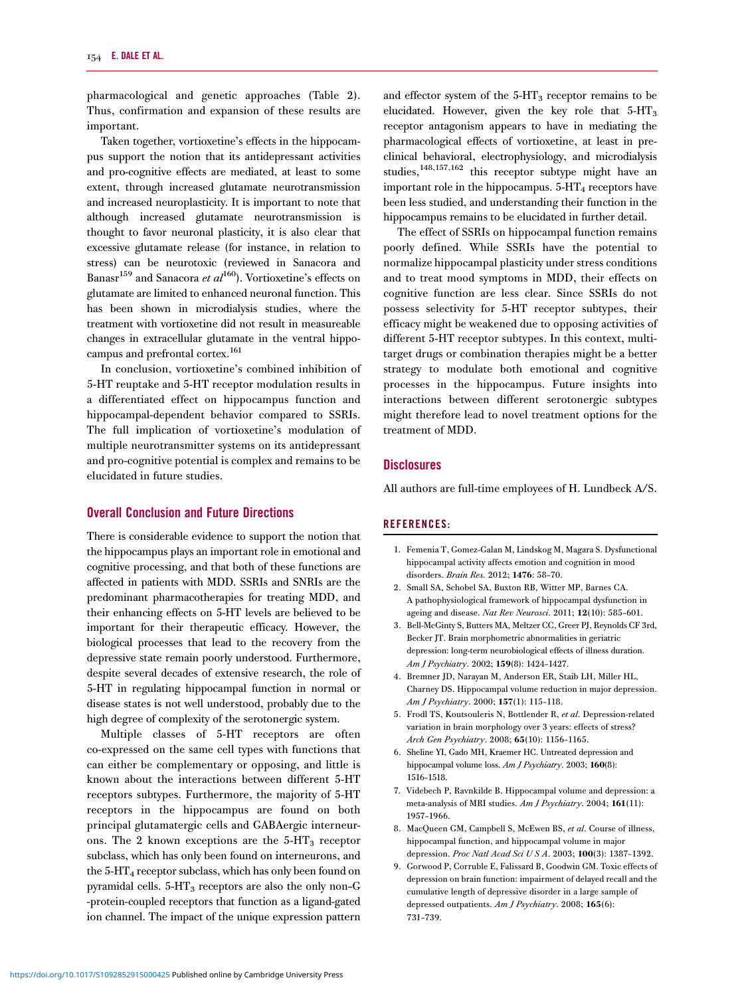<span id="page-11-0"></span>pharmacological and genetic approaches ([Table 2\)](#page-5-0). Thus, confirmation and expansion of these results are important.

Taken together, vortioxetine's effects in the hippocampus support the notion that its antidepressant activities and pro-cognitive effects are mediated, at least to some extent, through increased glutamate neurotransmission and increased neuroplasticity. It is important to note that although increased glutamate neurotransmission is thought to favor neuronal plasticity, it is also clear that excessive glutamate release (for instance, in relation to stress) can be neurotoxic (reviewed in Sanacora and Banasr<sup>159</sup> and Sanacora et  $al^{160}$  $al^{160}$  $al^{160}$ ). Vortioxetine's effects on glutamate are limited to enhanced neuronal function. This has been shown in microdialysis studies, where the treatment with vortioxetine did not result in measureable changes in extracellular glutamate in the ventral hippocampus and prefrontal cortex[.161](#page-15-0)

In conclusion, vortioxetine's combined inhibition of 5-HT reuptake and 5-HT receptor modulation results in a differentiated effect on hippocampus function and hippocampal-dependent behavior compared to SSRIs. The full implication of vortioxetine's modulation of multiple neurotransmitter systems on its antidepressant and pro-cognitive potential is complex and remains to be elucidated in future studies.

#### Overall Conclusion and Future Directions

There is considerable evidence to support the notion that the hippocampus plays an important role in emotional and cognitive processing, and that both of these functions are affected in patients with MDD. SSRIs and SNRIs are the predominant pharmacotherapies for treating MDD, and their enhancing effects on 5-HT levels are believed to be important for their therapeutic efficacy. However, the biological processes that lead to the recovery from the depressive state remain poorly understood. Furthermore, despite several decades of extensive research, the role of 5-HT in regulating hippocampal function in normal or disease states is not well understood, probably due to the high degree of complexity of the serotonergic system.

Multiple classes of 5-HT receptors are often co-expressed on the same cell types with functions that can either be complementary or opposing, and little is known about the interactions between different 5-HT receptors subtypes. Furthermore, the majority of 5-HT receptors in the hippocampus are found on both principal glutamatergic cells and GABAergic interneurons. The 2 known exceptions are the 5-HT<sub>3</sub> receptor subclass, which has only been found on interneurons, and the  $5-HT_4$  receptor subclass, which has only been found on pyramidal cells. 5-HT<sub>3</sub> receptors are also the only non-G -protein-coupled receptors that function as a ligand-gated ion channel. The impact of the unique expression pattern

and effector system of the  $5-HT_3$  receptor remains to be elucidated. However, given the key role that  $5-HT_3$ receptor antagonism appears to have in mediating the pharmacological effects of vortioxetine, at least in preclinical behavioral, electrophysiology, and microdialysis studies,[148,157](#page-15-0)[,162](#page-16-0) this receptor subtype might have an important role in the hippocampus.  $5-HT<sub>4</sub>$  receptors have been less studied, and understanding their function in the hippocampus remains to be elucidated in further detail.

The effect of SSRIs on hippocampal function remains poorly defined. While SSRIs have the potential to normalize hippocampal plasticity under stress conditions and to treat mood symptoms in MDD, their effects on cognitive function are less clear. Since SSRIs do not possess selectivity for 5-HT receptor subtypes, their efficacy might be weakened due to opposing activities of different 5-HT receptor subtypes. In this context, multitarget drugs or combination therapies might be a better strategy to modulate both emotional and cognitive processes in the hippocampus. Future insights into interactions between different serotonergic subtypes might therefore lead to novel treatment options for the treatment of MDD.

#### **Disclosures**

All authors are full-time employees of H. Lundbeck A/S.

#### REFERENCES:

- 1. Femenia T, Gomez-Galan M, Lindskog M, Magara S. Dysfunctional hippocampal activity affects emotion and cognition in mood disorders. Brain Res. 2012; 1476: 58–70.
- 2. Small SA, Schobel SA, Buxton RB, Witter MP, Barnes CA. A pathophysiological framework of hippocampal dysfunction in ageing and disease. Nat Rev Neurosci. 2011; 12(10): 585–601.
- 3. Bell-McGinty S, Butters MA, Meltzer CC, Greer PJ, Reynolds CF 3rd, Becker JT. Brain morphometric abnormalities in geriatric depression: long-term neurobiological effects of illness duration. Am J Psychiatry. 2002; 159(8): 1424-1427.
- 4. Bremner JD, Narayan M, Anderson ER, Staib LH, Miller HL, Charney DS. Hippocampal volume reduction in major depression. Am J Psychiatry. 2000; 157(1): 115–118.
- 5. Frodl TS, Koutsouleris N, Bottlender R, et al. Depression-related variation in brain morphology over 3 years: effects of stress? Arch Gen Psychiatry. 2008; 65(10): 1156–1165.
- 6. Sheline YI, Gado MH, Kraemer HC. Untreated depression and hippocampal volume loss. Am J Psychiatry. 2003; 160(8): 1516–1518.
- 7. Videbech P, Ravnkilde B. Hippocampal volume and depression: a meta-analysis of MRI studies. Am J Psychiatry. 2004; 161(11): 1957–1966.
- 8. MacQueen GM, Campbell S, McEwen BS, et al. Course of illness, hippocampal function, and hippocampal volume in major depression. Proc Natl Acad Sci U S A. 2003; 100(3): 1387–1392.
- 9. Gorwood P, Corruble E, Falissard B, Goodwin GM. Toxic effects of depression on brain function: impairment of delayed recall and the cumulative length of depressive disorder in a large sample of depressed outpatients. Am J Psychiatry. 2008; 165(6): 731–739.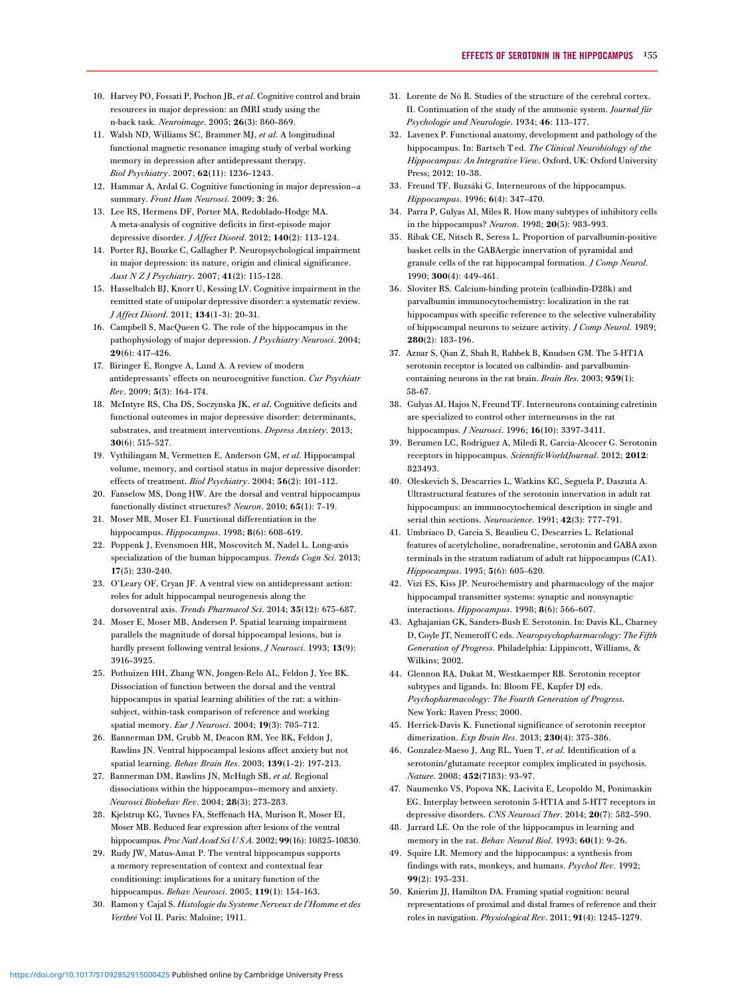- <span id="page-12-0"></span>10. Harvey PO, Fossati P, Pochon JB, et al. Cognitive control and brain resources in major depression: an fMRI study using the n-back task. Neuroimage. 2005; 26(3): 860–869.
- 11. Walsh ND, Williams SC, Brammer MJ, et al. A longitudinal functional magnetic resonance imaging study of verbal working memory in depression after antidepressant therapy. Biol Psychiatry. 2007; 62(11): 1236–1243.
- 12. Hammar A, Ardal G. Cognitive functioning in major depression—a summary. Front Hum Neurosci. 2009; 3: 26.
- 13. Lee RS, Hermens DF, Porter MA, Redoblado-Hodge MA. A meta-analysis of cognitive deficits in first-episode major depressive disorder. J Affect Disord. 2012; 140(2): 113–124.
- 14. Porter RJ, Bourke C, Gallagher P. Neuropsychological impairment in major depression: its nature, origin and clinical significance. Aust N Z J Psychiatry. 2007; 41(2): 115–128.
- 15. Hasselbalch BJ, Knorr U, Kessing LV. Cognitive impairment in the remitted state of unipolar depressive disorder: a systematic review. J Affect Disord. 2011; 134(1–3): 20–31.
- 16. Campbell S, MacQueen G. The role of the hippocampus in the pathophysiology of major depression. J Psychiatry Neurosci. 2004; 29(6): 417–426.
- 17. Biringer E, Rongve A, Lund A. A review of modern antidepressants' effects on neurocognitive function. Cur Psychiatr Rev. 2009; 5(3): 164–174.
- 18. McIntyre RS, Cha DS, Soczynska JK, et al. Cognitive deficits and functional outcomes in major depressive disorder: determinants, substrates, and treatment interventions. Depress Anxiety. 2013; 30(6): 515–527.
- 19. Vythilingam M, Vermetten E, Anderson GM, et al. Hippocampal volume, memory, and cortisol status in major depressive disorder: effects of treatment. Biol Psychiatry. 2004; 56(2): 101–112.
- 20. Fanselow MS, Dong HW. Are the dorsal and ventral hippocampus functionally distinct structures? Neuron. 2010; 65(1): 7–19.
- 21. Moser MB, Moser EI. Functional differentiation in the hippocampus. Hippocampus. 1998; 8(6): 608–619.
- 22. Poppenk J, Evensmoen HR, Moscovitch M, Nadel L. Long-axis specialization of the human hippocampus. Trends Cogn Sci. 2013; 17(5): 230–240.
- 23. O'Leary OF, Cryan JF. A ventral view on antidepressant action: roles for adult hippocampal neurogenesis along the dorsoventral axis. Trends Pharmacol Sci. 2014; 35(12): 675–687.
- 24. Moser E, Moser MB, Andersen P. Spatial learning impairment parallels the magnitude of dorsal hippocampal lesions, but is hardly present following ventral lesions. *J Neurosci*. 1993; 13(9): 3916–3925.
- 25. Pothuizen HH, Zhang WN, Jongen-Relo AL, Feldon J, Yee BK. Dissociation of function between the dorsal and the ventral hippocampus in spatial learning abilities of the rat: a withinsubject, within-task comparison of reference and working spatial memory. Eur J Neurosci. 2004; 19(3): 705–712.
- 26. Bannerman DM, Grubb M, Deacon RM, Yee BK, Feldon J, Rawlins JN. Ventral hippocampal lesions affect anxiety but not spatial learning. Behav Brain Res. 2003; 139(1-2): 197-213.
- 27. Bannerman DM, Rawlins JN, McHugh SB, et al. Regional dissociations within the hippocampus—memory and anxiety. Neurosci Biobehav Rev. 2004; 28(3): 273–283.
- 28. Kjelstrup KG, Tuvnes FA, Steffenach HA, Murison R, Moser EI, Moser MB. Reduced fear expression after lesions of the ventral hippocampus. Proc Natl Acad Sci U S A. 2002; 99(16): 10825-10830.
- 29. Rudy JW, Matus-Amat P. The ventral hippocampus supports a memory representation of context and contextual fear conditioning: implications for a unitary function of the hippocampus. Behav Neurosci. 2005; 119(1): 154–163.
- 30. Ramon y Cajal S. Histologie du Systeme Nerveux de l'Homme et des Vertbré Vol II. Paris: Maloine; 1911.
- 31. Lorente de Nó R. Studies of the structure of the cerebral cortex. II. Continuation of the study of the ammonic system. Journal für Psychologie und Neurologie. 1934; 46: 113–177.
- 32. Lavenex P. Functional anatomy, development and pathology of the hippocampus. In: Bartsch T ed. The Clinical Neurobiology of the Hippocampus: An Integrative View. Oxford, UK: Oxford University Press; 2012: 10–38.
- 33. Freund TF, Buzsáki G. Interneurons of the hippocampus. Hippocampus. 1996; 6(4): 347–470.
- 34. Parra P, Gulyas AI, Miles R. How many subtypes of inhibitory cells in the hippocampus? Neuron. 1998; 20(5): 983–993.
- 35. Ribak CE, Nitsch R, Seress L. Proportion of parvalbumin-positive basket cells in the GABAergic innervation of pyramidal and granule cells of the rat hippocampal formation. J Comp Neurol. 1990; 300(4): 449–461.
- 36. Sloviter RS. Calcium-binding protein (calbindin-D28k) and parvalbumin immunocytochemistry: localization in the rat hippocampus with specific reference to the selective vulnerability of hippocampal neurons to seizure activity. J Comp Neurol. 1989; 280(2): 183–196.
- 37. Aznar S, Qian Z, Shah R, Rahbek B, Knudsen GM. The 5-HT1A serotonin receptor is located on calbindin- and parvalbumincontaining neurons in the rat brain. Brain Res. 2003; 959(1): 58–67.
- 38. Gulyas AI, Hajos N, Freund TF. Interneurons containing calretinin are specialized to control other interneurons in the rat hippocampus. J Neurosci. 1996; 16(10): 3397–3411.
- 39. Berumen LC, Rodriguez A, Miledi R, Garcia-Alcocer G. Serotonin receptors in hippocampus. ScientificWorldJournal. 2012; 2012: 823493.
- 40. Oleskevich S, Descarries L, Watkins KC, Seguela P, Daszuta A. Ultrastructural features of the serotonin innervation in adult rat hippocampus: an immunocytochemical description in single and serial thin sections. Neuroscience. 1991; 42(3): 777–791.
- 41. Umbriaco D, Garcia S, Beaulieu C, Descarries L. Relational features of acetylcholine, noradrenaline, serotonin and GABA axon terminals in the stratum radiatum of adult rat hippocampus (CA1). Hippocampus. 1995; 5(6): 605–620.
- 42. Vizi ES, Kiss JP. Neurochemistry and pharmacology of the major hippocampal transmitter systems: synaptic and nonsynaptic interactions. Hippocampus. 1998; 8(6): 566–607.
- 43. Aghajanian GK, Sanders-Bush E. Serotonin. In: Davis KL, Charney D, Coyle JT, Nemeroff C eds. Neuropsychopharmacology: The Fifth Generation of Progress. Philadelphia: Lippincott, Williams, & Wilkins; 2002.
- 44. Glennon RA, Dukat M, Westkaemper RB. Serotonin receptor subtypes and ligands. In: Bloom FE, Kupfer DJ eds. Psychopharmacology: The Fourth Generation of Progress. New York: Raven Press; 2000.
- 45. Herrick-Davis K. Functional significance of serotonin receptor dimerization. Exp Brain Res. 2013; 230(4): 375–386.
- 46. Gonzalez-Maeso J, Ang RL, Yuen T, et al. Identification of a serotonin/glutamate receptor complex implicated in psychosis. Nature. 2008; 452(7183): 93–97.
- 47. Naumenko VS, Popova NK, Lacivita E, Leopoldo M, Ponimaskin EG. Interplay between serotonin 5-HT1A and 5-HT7 receptors in depressive disorders. CNS Neurosci Ther. 2014; 20(7): 582–590.
- 48. Jarrard LE. On the role of the hippocampus in learning and memory in the rat. Behav Neural Biol. 1993; 60(1): 9-26.
- 49. Squire LR. Memory and the hippocampus: a synthesis from findings with rats, monkeys, and humans. Psychol Rev. 1992; 99(2): 195–231.
- 50. Knierim JJ, Hamilton DA. Framing spatial cognition: neural representations of proximal and distal frames of reference and their roles in navigation. Physiological Rev. 2011; 91(4): 1245–1279.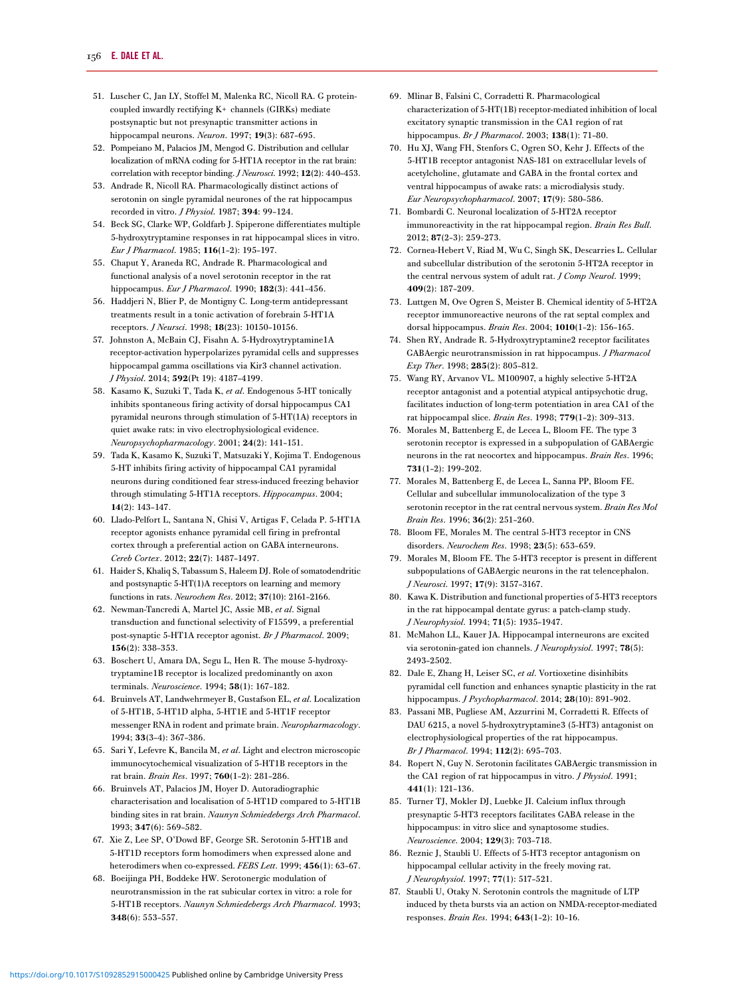- <span id="page-13-0"></span>51. Luscher C, Jan LY, Stoffel M, Malenka RC, Nicoll RA. G proteincoupled inwardly rectifying K+ channels (GIRKs) mediate postsynaptic but not presynaptic transmitter actions in hippocampal neurons. Neuron. 1997; 19(3): 687–695.
- 52. Pompeiano M, Palacios JM, Mengod G. Distribution and cellular localization of mRNA coding for 5-HT1A receptor in the rat brain: correlation with receptor binding. J Neurosci. 1992; 12(2): 440–453.
- 53. Andrade R, Nicoll RA. Pharmacologically distinct actions of serotonin on single pyramidal neurones of the rat hippocampus recorded in vitro. J Physiol. 1987; 394: 99–124.
- 54. Beck SG, Clarke WP, Goldfarb J. Spiperone differentiates multiple 5-hydroxytryptamine responses in rat hippocampal slices in vitro. Eur J Pharmacol. 1985; 116(1–2): 195–197.
- 55. Chaput Y, Araneda RC, Andrade R. Pharmacological and functional analysis of a novel serotonin receptor in the rat hippocampus. Eur J Pharmacol. 1990; 182(3): 441–456.
- 56. Haddjeri N, Blier P, de Montigny C. Long-term antidepressant treatments result in a tonic activation of forebrain 5-HT1A receptors. J Neursci. 1998; 18(23): 10150–10156.
- 57. Johnston A, McBain CJ, Fisahn A. 5-Hydroxytryptamine1A receptor-activation hyperpolarizes pyramidal cells and suppresses hippocampal gamma oscillations via Kir3 channel activation. J Physiol. 2014; 592(Pt 19): 4187–4199.
- 58. Kasamo K, Suzuki T, Tada K, et al. Endogenous 5-HT tonically inhibits spontaneous firing activity of dorsal hippocampus CA1 pyramidal neurons through stimulation of 5-HT(1A) receptors in quiet awake rats: in vivo electrophysiological evidence. Neuropsychopharmacology. 2001; 24(2): 141–151.
- 59. Tada K, Kasamo K, Suzuki T, Matsuzaki Y, Kojima T. Endogenous 5-HT inhibits firing activity of hippocampal CA1 pyramidal neurons during conditioned fear stress-induced freezing behavior through stimulating 5-HT1A receptors. Hippocampus. 2004; 14(2): 143–147.
- 60. Llado-Pelfort L, Santana N, Ghisi V, Artigas F, Celada P. 5-HT1A receptor agonists enhance pyramidal cell firing in prefrontal cortex through a preferential action on GABA interneurons. Cereb Cortex. 2012; 22(7): 1487–1497.
- 61. Haider S, Khaliq S, Tabassum S, Haleem DJ. Role of somatodendritic and postsynaptic 5-HT(1)A receptors on learning and memory functions in rats. Neurochem Res. 2012; 37(10): 2161–2166.
- 62. Newman-Tancredi A, Martel JC, Assie MB, et al. Signal transduction and functional selectivity of F15599, a preferential post-synaptic 5-HT1A receptor agonist. Br J Pharmacol. 2009; 156(2): 338–353.
- 63. Boschert U, Amara DA, Segu L, Hen R. The mouse 5-hydroxytryptamine1B receptor is localized predominantly on axon terminals. Neuroscience. 1994; 58(1): 167–182.
- 64. Bruinvels AT, Landwehrmeyer B, Gustafson EL, et al. Localization of 5-HT1B, 5-HT1D alpha, 5-HT1E and 5-HT1F receptor messenger RNA in rodent and primate brain. Neuropharmacology. 1994; 33(3–4): 367–386.
- 65. Sari Y, Lefevre K, Bancila M, et al. Light and electron microscopic immunocytochemical visualization of 5-HT1B receptors in the rat brain. Brain Res. 1997; 760(1–2): 281–286.
- 66. Bruinvels AT, Palacios JM, Hoyer D. Autoradiographic characterisation and localisation of 5-HT1D compared to 5-HT1B binding sites in rat brain. Naunyn Schmiedebergs Arch Pharmacol. 1993; 347(6): 569–582.
- 67. Xie Z, Lee SP, O'Dowd BF, George SR. Serotonin 5-HT1B and 5-HT1D receptors form homodimers when expressed alone and heterodimers when co-expressed. FEBS Lett. 1999; 456(1): 63–67.
- 68. Boeijinga PH, Boddeke HW. Serotonergic modulation of neurotransmission in the rat subicular cortex in vitro: a role for 5-HT1B receptors. Naunyn Schmiedebergs Arch Pharmacol. 1993; 348(6): 553–557.
- 69. Mlinar B, Falsini C, Corradetti R. Pharmacological characterization of 5-HT(1B) receptor-mediated inhibition of local excitatory synaptic transmission in the CA1 region of rat hippocampus. Br J Pharmacol. 2003; 138(1): 71–80.
- 70. Hu XJ, Wang FH, Stenfors C, Ogren SO, Kehr J. Effects of the 5-HT1B receptor antagonist NAS-181 on extracellular levels of acetylcholine, glutamate and GABA in the frontal cortex and ventral hippocampus of awake rats: a microdialysis study. Eur Neuropsychopharmacol. 2007; 17(9): 580–586.
- 71. Bombardi C. Neuronal localization of 5-HT2A receptor immunoreactivity in the rat hippocampal region. Brain Res Bull. 2012; 87(2–3): 259–273.
- 72. Cornea-Hebert V, Riad M, Wu C, Singh SK, Descarries L. Cellular and subcellular distribution of the serotonin 5-HT2A receptor in the central nervous system of adult rat. *J Comp Neurol*. 1999; 409(2): 187–209.
- 73. Luttgen M, Ove Ogren S, Meister B. Chemical identity of 5-HT2A receptor immunoreactive neurons of the rat septal complex and dorsal hippocampus. Brain Res. 2004; 1010(1–2): 156–165.
- 74. Shen RY, Andrade R. 5-Hydroxytryptamine2 receptor facilitates GABAergic neurotransmission in rat hippocampus. J Pharmacol Exp Ther. 1998; 285(2): 805–812.
- 75. Wang RY, Arvanov VL. M100907, a highly selective 5-HT2A receptor antagonist and a potential atypical antipsychotic drug, facilitates induction of long-term potentiation in area CA1 of the rat hippocampal slice. Brain Res. 1998; 779(1–2): 309–313.
- 76. Morales M, Battenberg E, de Lecea L, Bloom FE. The type 3 serotonin receptor is expressed in a subpopulation of GABAergic neurons in the rat neocortex and hippocampus. Brain Res. 1996; 731(1–2): 199–202.
- 77. Morales M, Battenberg E, de Lecea L, Sanna PP, Bloom FE. Cellular and subcellular immunolocalization of the type 3 serotonin receptor in the rat central nervous system. Brain Res Mol Brain Res. 1996; 36(2): 251–260.
- 78. Bloom FE, Morales M. The central 5-HT3 receptor in CNS disorders. Neurochem Res. 1998; 23(5): 653–659.
- 79. Morales M, Bloom FE. The 5-HT3 receptor is present in different subpopulations of GABAergic neurons in the rat telencephalon. J Neurosci. 1997; 17(9): 3157–3167.
- 80. Kawa K. Distribution and functional properties of 5-HT3 receptors in the rat hippocampal dentate gyrus: a patch-clamp study. J Neurophysiol. 1994; 71(5): 1935–1947.
- 81. McMahon LL, Kauer JA. Hippocampal interneurons are excited via serotonin-gated ion channels. J Neurophysiol. 1997; 78(5): 2493–2502.
- 82. Dale E, Zhang H, Leiser SC, et al. Vortioxetine disinhibits pyramidal cell function and enhances synaptic plasticity in the rat hippocampus. J Psychopharmacol. 2014; 28(10): 891–902.
- 83. Passani MB, Pugliese AM, Azzurrini M, Corradetti R. Effects of DAU 6215, a novel 5-hydroxytryptamine3 (5-HT3) antagonist on electrophysiological properties of the rat hippocampus. Br J Pharmacol. 1994; 112(2): 695–703.
- 84. Ropert N, Guy N. Serotonin facilitates GABAergic transmission in the CA1 region of rat hippocampus in vitro. J Physiol. 1991; 441(1): 121–136.
- 85. Turner TJ, Mokler DJ, Luebke JI. Calcium influx through presynaptic 5-HT3 receptors facilitates GABA release in the hippocampus: in vitro slice and synaptosome studies. Neuroscience. 2004; 129(3): 703–718.
- 86. Reznic J, Staubli U. Effects of 5-HT3 receptor antagonism on hippocampal cellular activity in the freely moving rat. J Neurophysiol. 1997; 77(1): 517–521.
- 87. Staubli U, Otaky N. Serotonin controls the magnitude of LTP induced by theta bursts via an action on NMDA-receptor-mediated responses. Brain Res. 1994; 643(1–2): 10–16.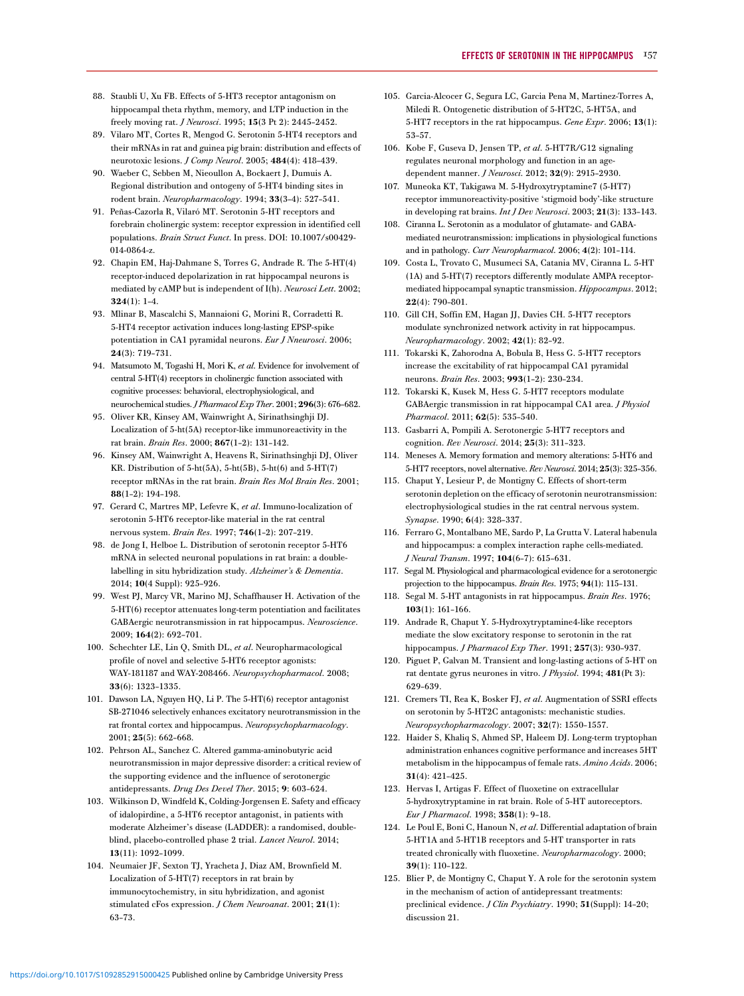- <span id="page-14-0"></span>88. Staubli U, Xu FB. Effects of 5-HT3 receptor antagonism on hippocampal theta rhythm, memory, and LTP induction in the freely moving rat. J Neurosci. 1995; 15(3 Pt 2): 2445–2452.
- 89. Vilaro MT, Cortes R, Mengod G. Serotonin 5-HT4 receptors and their mRNAs in rat and guinea pig brain: distribution and effects of neurotoxic lesions. J Comp Neurol. 2005; 484(4): 418–439.
- 90. Waeber C, Sebben M, Nieoullon A, Bockaert J, Dumuis A. Regional distribution and ontogeny of 5-HT4 binding sites in rodent brain. Neuropharmacology. 1994; 33(3–4): 527–541.
- 91. Peñas-Cazorla R, Vilaró MT. Serotonin 5-HT receptors and forebrain cholinergic system: receptor expression in identified cell populations. Brain Struct Funct. In press. DOI: 10.1007/s00429- 014-0864-z.
- 92. Chapin EM, Haj-Dahmane S, Torres G, Andrade R. The 5-HT(4) receptor-induced depolarization in rat hippocampal neurons is mediated by cAMP but is independent of I(h). Neurosci Lett. 2002; 324(1): 1–4.
- 93. Mlinar B, Mascalchi S, Mannaioni G, Morini R, Corradetti R. 5-HT4 receptor activation induces long-lasting EPSP-spike potentiation in CA1 pyramidal neurons. Eur J Nneurosci. 2006; 24(3): 719–731.
- 94. Matsumoto M, Togashi H, Mori K, et al. Evidence for involvement of central 5-HT(4) receptors in cholinergic function associated with cognitive processes: behavioral, electrophysiological, and neurochemical studies.J Pharmacol Exp Ther. 2001; 296(3): 676–682.
- 95. Oliver KR, Kinsey AM, Wainwright A, Sirinathsinghji DJ. Localization of 5-ht(5A) receptor-like immunoreactivity in the rat brain. Brain Res. 2000; 867(1–2): 131–142.
- 96. Kinsey AM, Wainwright A, Heavens R, Sirinathsinghji DJ, Oliver KR. Distribution of 5-ht(5A), 5-ht(5B), 5-ht(6) and 5-HT(7) receptor mRNAs in the rat brain. Brain Res Mol Brain Res. 2001; 88(1–2): 194–198.
- 97. Gerard C, Martres MP, Lefevre K, et al. Immuno-localization of serotonin 5-HT6 receptor-like material in the rat central nervous system. Brain Res. 1997; 746(1–2): 207–219.
- 98. de Jong I, Helboe L. Distribution of serotonin receptor 5-HT6 mRNA in selected neuronal populations in rat brain: a doublelabelling in situ hybridization study. Alzheimer's & Dementia. 2014; 10(4 Suppl): 925–926.
- 99. West PJ, Marcy VR, Marino MJ, Schaffhauser H. Activation of the 5-HT(6) receptor attenuates long-term potentiation and facilitates GABAergic neurotransmission in rat hippocampus. Neuroscience. 2009; 164(2): 692–701.
- 100. Schechter LE, Lin Q, Smith DL, et al. Neuropharmacological profile of novel and selective 5-HT6 receptor agonists: WAY-181187 and WAY-208466. Neuropsychopharmacol. 2008; 33(6): 1323–1335.
- 101. Dawson LA, Nguyen HQ, Li P. The 5-HT(6) receptor antagonist SB-271046 selectively enhances excitatory neurotransmission in the rat frontal cortex and hippocampus. Neuropsychopharmacology. 2001; 25(5): 662–668.
- 102. Pehrson AL, Sanchez C. Altered gamma-aminobutyric acid neurotransmission in major depressive disorder: a critical review of the supporting evidence and the influence of serotonergic antidepressants. Drug Des Devel Ther. 2015; 9: 603–624.
- 103. Wilkinson D, Windfeld K, Colding-Jorgensen E. Safety and efficacy of idalopirdine, a 5-HT6 receptor antagonist, in patients with moderate Alzheimer's disease (LADDER): a randomised, doubleblind, placebo-controlled phase 2 trial. Lancet Neurol. 2014; 13(11): 1092–1099.
- 104. Neumaier JF, Sexton TJ, Yracheta J, Diaz AM, Brownfield M. Localization of 5-HT(7) receptors in rat brain by immunocytochemistry, in situ hybridization, and agonist stimulated cFos expression. J Chem Neuroanat. 2001; 21(1): 63–73.
- 105. Garcia-Alcocer G, Segura LC, Garcia Pena M, Martinez-Torres A, Miledi R. Ontogenetic distribution of 5-HT2C, 5-HT5A, and 5-HT7 receptors in the rat hippocampus. Gene Expr. 2006; 13(1): 53–57.
- 106. Kobe F, Guseva D, Jensen TP, et al. 5-HT7R/G12 signaling regulates neuronal morphology and function in an agedependent manner. J Neurosci. 2012; 32(9): 2915–2930.
- 107. Muneoka KT, Takigawa M. 5-Hydroxytryptamine7 (5-HT7) receptor immunoreactivity-positive 'stigmoid body'-like structure in developing rat brains. Int J Dev Neurosci. 2003; 21(3): 133–143.
- 108. Ciranna L. Serotonin as a modulator of glutamate- and GABAmediated neurotransmission: implications in physiological functions and in pathology. Curr Neuropharmacol. 2006; 4(2): 101–114.
- 109. Costa L, Trovato C, Musumeci SA, Catania MV, Ciranna L. 5-HT (1A) and 5-HT(7) receptors differently modulate AMPA receptormediated hippocampal synaptic transmission. Hippocampus. 2012; 22(4): 790–801.
- 110. Gill CH, Soffin EM, Hagan JJ, Davies CH. 5-HT7 receptors modulate synchronized network activity in rat hippocampus. Neuropharmacology. 2002; 42(1): 82–92.
- 111. Tokarski K, Zahorodna A, Bobula B, Hess G. 5-HT7 receptors increase the excitability of rat hippocampal CA1 pyramidal neurons. Brain Res. 2003; 993(1–2): 230–234.
- 112. Tokarski K, Kusek M, Hess G. 5-HT7 receptors modulate GABAergic transmission in rat hippocampal CA1 area. J Physiol Pharmacol. 2011; 62(5): 535-540.
- 113. Gasbarri A, Pompili A. Serotonergic 5-HT7 receptors and cognition. Rev Neurosci. 2014; 25(3): 311–323.
- 114. Meneses A. Memory formation and memory alterations: 5-HT6 and 5-HT7 receptors, novel alternative. Rev Neurosci. 2014; 25(3): 325-356.
- 115. Chaput Y, Lesieur P, de Montigny C. Effects of short-term serotonin depletion on the efficacy of serotonin neurotransmission: electrophysiological studies in the rat central nervous system. Synapse. 1990; 6(4): 328–337.
- 116. Ferraro G, Montalbano ME, Sardo P, La Grutta V. Lateral habenula and hippocampus: a complex interaction raphe cells-mediated. J Neural Transm. 1997; 104(6–7): 615–631.
- 117. Segal M. Physiological and pharmacological evidence for a serotonergic projection to the hippocampus. Brain Res. 1975; 94(1): 115–131.
- 118. Segal M. 5-HT antagonists in rat hippocampus. Brain Res. 1976; 103(1): 161–166.
- 119. Andrade R, Chaput Y. 5-Hydroxytryptamine4-like receptors mediate the slow excitatory response to serotonin in the rat hippocampus. J Pharmacol Exp Ther. 1991; 257(3): 930–937.
- 120. Piguet P, Galvan M. Transient and long-lasting actions of 5-HT on rat dentate gyrus neurones in vitro. *J Physiol*. 1994; 481(Pt 3): 629–639.
- 121. Cremers TI, Rea K, Bosker FJ, et al. Augmentation of SSRI effects on serotonin by 5-HT2C antagonists: mechanistic studies. Neuropsychopharmacology. 2007; 32(7): 1550–1557.
- 122. Haider S, Khaliq S, Ahmed SP, Haleem DJ. Long-term tryptophan administration enhances cognitive performance and increases 5HT metabolism in the hippocampus of female rats. Amino Acids. 2006; 31(4): 421–425.
- 123. Hervas I, Artigas F. Effect of fluoxetine on extracellular 5-hydroxytryptamine in rat brain. Role of 5-HT autoreceptors. Eur J Pharmacol. 1998; 358(1): 9–18.
- 124. Le Poul E, Boni C, Hanoun N, et al. Differential adaptation of brain 5-HT1A and 5-HT1B receptors and 5-HT transporter in rats treated chronically with fluoxetine. Neuropharmacology. 2000; 39(1): 110–122.
- 125. Blier P, de Montigny C, Chaput Y. A role for the serotonin system in the mechanism of action of antidepressant treatments: preclinical evidence. J Clin Psychiatry. 1990; 51(Suppl): 14-20; discussion 21.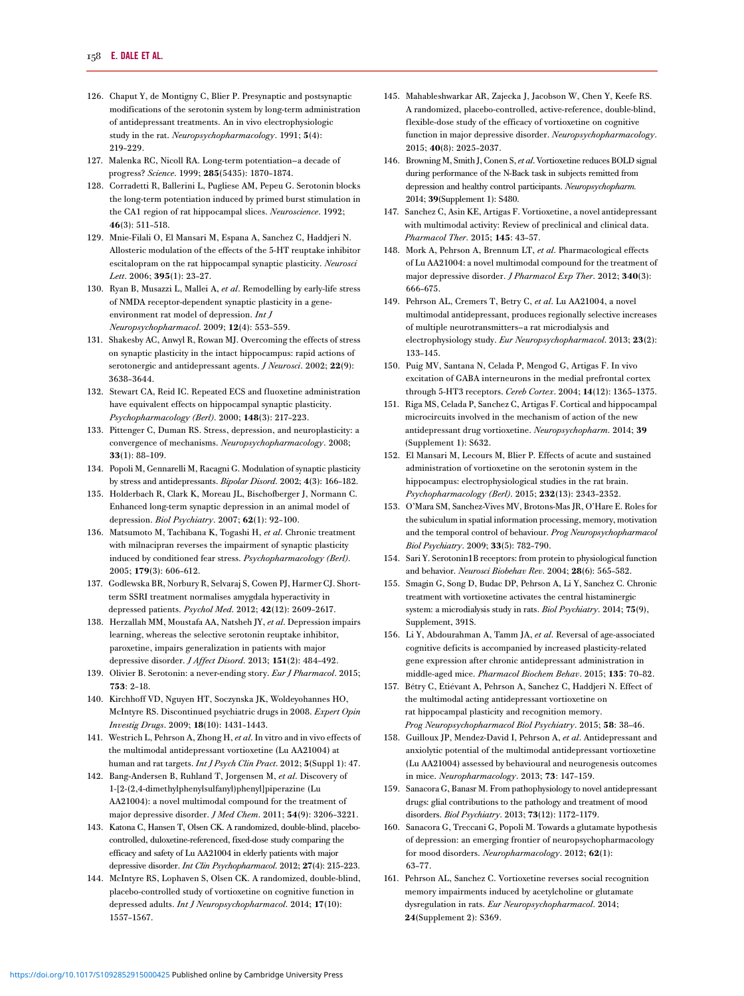- <span id="page-15-0"></span>126. Chaput Y, de Montigny C, Blier P. Presynaptic and postsynaptic modifications of the serotonin system by long-term administration of antidepressant treatments. An in vivo electrophysiologic study in the rat. Neuropsychopharmacology. 1991; 5(4): 219–229.
- 127. Malenka RC, Nicoll RA. Long-term potentiation—a decade of progress? Science. 1999; 285(5435): 1870–1874.
- 128. Corradetti R, Ballerini L, Pugliese AM, Pepeu G. Serotonin blocks the long-term potentiation induced by primed burst stimulation in the CA1 region of rat hippocampal slices. Neuroscience. 1992; 46(3): 511–518.
- 129. Mnie-Filali O, El Mansari M, Espana A, Sanchez C, Haddjeri N. Allosteric modulation of the effects of the 5-HT reuptake inhibitor escitalopram on the rat hippocampal synaptic plasticity. Neurosci Lett. 2006; 395(1): 23–27.
- 130. Ryan B, Musazzi L, Mallei A, et al. Remodelling by early-life stress of NMDA receptor-dependent synaptic plasticity in a geneenvironment rat model of depression. Int J Neuropsychopharmacol. 2009; 12(4): 553–559.
- 131. Shakesby AC, Anwyl R, Rowan MJ. Overcoming the effects of stress on synaptic plasticity in the intact hippocampus: rapid actions of serotonergic and antidepressant agents. *J Neurosci*. 2002; 22(9): 3638–3644.
- 132. Stewart CA, Reid IC. Repeated ECS and fluoxetine administration have equivalent effects on hippocampal synaptic plasticity. Psychopharmacology (Berl). 2000; 148(3): 217–223.
- 133. Pittenger C, Duman RS. Stress, depression, and neuroplasticity: a convergence of mechanisms. Neuropsychopharmacology. 2008; 33(1): 88–109.
- 134. Popoli M, Gennarelli M, Racagni G. Modulation of synaptic plasticity by stress and antidepressants. Bipolar Disord. 2002; 4(3): 166–182.
- 135. Holderbach R, Clark K, Moreau JL, Bischofberger J, Normann C. Enhanced long-term synaptic depression in an animal model of depression. Biol Psychiatry. 2007; 62(1): 92–100.
- 136. Matsumoto M, Tachibana K, Togashi H, et al. Chronic treatment with milnacipran reverses the impairment of synaptic plasticity induced by conditioned fear stress. Psychopharmacology (Berl). 2005; 179(3): 606–612.
- 137. Godlewska BR, Norbury R, Selvaraj S, Cowen PJ, Harmer CJ. Shortterm SSRI treatment normalises amygdala hyperactivity in depressed patients. Psychol Med. 2012; 42(12): 2609–2617.
- 138. Herzallah MM, Moustafa AA, Natsheh JY, et al. Depression impairs learning, whereas the selective serotonin reuptake inhibitor, paroxetine, impairs generalization in patients with major depressive disorder. *J Affect Disord.* 2013; 151(2): 484-492.
- 139. Olivier B. Serotonin: a never-ending story. Eur J Pharmacol. 2015; 753: 2–18.
- 140. Kirchhoff VD, Nguyen HT, Soczynska JK, Woldeyohannes HO, McIntyre RS. Discontinued psychiatric drugs in 2008. Expert Opin Investig Drugs. 2009; 18(10): 1431–1443.
- 141. Westrich L, Pehrson A, Zhong H, et al. In vitro and in vivo effects of the multimodal antidepressant vortioxetine (Lu AA21004) at human and rat targets. Int J Psych Clin Pract. 2012; 5(Suppl 1): 47.
- 142. Bang-Andersen B, Ruhland T, Jorgensen M, et al. Discovery of 1-[2-(2,4-dimethylphenylsulfanyl)phenyl]piperazine (Lu AA21004): a novel multimodal compound for the treatment of major depressive disorder. J Med Chem. 2011; 54(9): 3206–3221.
- 143. Katona C, Hansen T, Olsen CK. A randomized, double-blind, placebocontrolled, duloxetine-referenced, fixed-dose study comparing the efficacy and safety of Lu AA21004 in elderly patients with major depressive disorder. Int Clin Psychopharmacol. 2012; 27(4): 215–223.
- 144. McIntyre RS, Lophaven S, Olsen CK. A randomized, double-blind, placebo-controlled study of vortioxetine on cognitive function in depressed adults. Int J Neuropsychopharmacol. 2014; 17(10): 1557–1567.
- 145. Mahableshwarkar AR, Zajecka J, Jacobson W, Chen Y, Keefe RS. A randomized, placebo-controlled, active-reference, double-blind, flexible-dose study of the efficacy of vortioxetine on cognitive function in major depressive disorder. Neuropsychopharmacology. 2015; 40(8): 2025–2037.
- 146. Browning M, Smith J, Conen S, et al. Vortioxetine reduces BOLD signal during performance of the N-Back task in subjects remitted from depression and healthy control participants. Neuropsychopharm. 2014; 39(Supplement 1): S480.
- 147. Sanchez C, Asin KE, Artigas F. Vortioxetine, a novel antidepressant with multimodal activity: Review of preclinical and clinical data. Pharmacol Ther. 2015; 145: 43–57.
- 148. Mork A, Pehrson A, Brennum LT, et al. Pharmacological effects of Lu AA21004: a novel multimodal compound for the treatment of major depressive disorder. J Pharmacol Exp Ther. 2012; 340(3): 666–675.
- 149. Pehrson AL, Cremers T, Betry C, et al. Lu AA21004, a novel multimodal antidepressant, produces regionally selective increases of multiple neurotransmitters—a rat microdialysis and electrophysiology study. Eur Neuropsychopharmacol. 2013; 23(2): 133–145.
- 150. Puig MV, Santana N, Celada P, Mengod G, Artigas F. In vivo excitation of GABA interneurons in the medial prefrontal cortex through 5-HT3 receptors. Cereb Cortex. 2004; 14(12): 1365–1375.
- 151. Riga MS, Celada P, Sanchez C, Artigas F. Cortical and hippocampal microcircuits involved in the mechanism of action of the new antidepressant drug vortioxetine. Neuropsychopharm. 2014; 39 (Supplement 1): S632.
- 152. El Mansari M, Lecours M, Blier P. Effects of acute and sustained administration of vortioxetine on the serotonin system in the hippocampus: electrophysiological studies in the rat brain. Psychopharmacology (Berl). 2015; 232(13): 2343–2352.
- 153. O'Mara SM, Sanchez-Vives MV, Brotons-Mas JR, O'Hare E. Roles for the subiculum in spatial information processing, memory, motivation and the temporal control of behaviour. Prog Neuropsychopharmacol Biol Psychiatry. 2009; 33(5): 782–790.
- 154. Sari Y. Serotonin1B receptors: from protein to physiological function and behavior. Neurosci Biobehav Rev. 2004; 28(6): 565–582.
- 155. Smagin G, Song D, Budac DP, Pehrson A, Li Y, Sanchez C. Chronic treatment with vortioxetine activates the central histaminergic system: a microdialysis study in rats. Biol Psychiatry. 2014; 75(9), Supplement, 391S.
- 156. Li Y, Abdourahman A, Tamm JA, et al. Reversal of age-associated cognitive deficits is accompanied by increased plasticity-related gene expression after chronic antidepressant administration in middle-aged mice. Pharmacol Biochem Behav. 2015; 135: 70–82.
- 157. Bétry C, Etiévant A, Pehrson A, Sanchez C, Haddjeri N. Effect of the multimodal acting antidepressant vortioxetine on rat hippocampal plasticity and recognition memory. Prog Neuropsychopharmacol Biol Psychiatry. 2015; 58: 38–46.
- 158. Guilloux JP, Mendez-David I, Pehrson A, et al. Antidepressant and anxiolytic potential of the multimodal antidepressant vortioxetine (Lu AA21004) assessed by behavioural and neurogenesis outcomes in mice. Neuropharmacology. 2013; 73: 147–159.
- 159. Sanacora G, Banasr M. From pathophysiology to novel antidepressant drugs: glial contributions to the pathology and treatment of mood disorders. Biol Psychiatry. 2013; 73(12): 1172–1179.
- 160. Sanacora G, Treccani G, Popoli M. Towards a glutamate hypothesis of depression: an emerging frontier of neuropsychopharmacology for mood disorders. Neuropharmacology. 2012; 62(1): 63–77.
- 161. Pehrson AL, Sanchez C. Vortioxetine reverses social recognition memory impairments induced by acetylcholine or glutamate dysregulation in rats. Eur Neuropsychopharmacol. 2014; 24(Supplement 2): S369.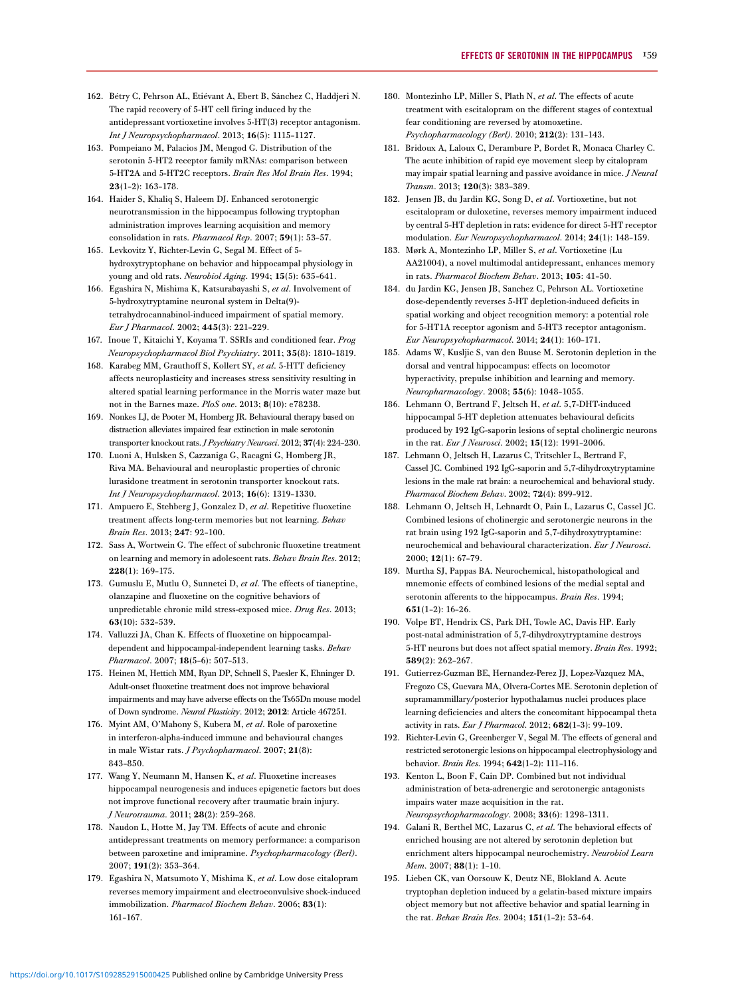- <span id="page-16-0"></span>162. Bétry C, Pehrson AL, Etiévant A, Ebert B, Sánchez C, Haddjeri N. The rapid recovery of 5-HT cell firing induced by the antidepressant vortioxetine involves 5-HT(3) receptor antagonism. Int J Neuropsychopharmacol. 2013; 16(5): 1115–1127.
- 163. Pompeiano M, Palacios JM, Mengod G. Distribution of the serotonin 5-HT2 receptor family mRNAs: comparison between 5-HT2A and 5-HT2C receptors. Brain Res Mol Brain Res. 1994; 23(1–2): 163–178.
- 164. Haider S, Khaliq S, Haleem DJ. Enhanced serotonergic neurotransmission in the hippocampus following tryptophan administration improves learning acquisition and memory consolidation in rats. Pharmacol Rep. 2007; 59(1): 53–57.
- 165. Levkovitz Y, Richter-Levin G, Segal M. Effect of 5 hydroxytryptophane on behavior and hippocampal physiology in young and old rats. Neurobiol Aging. 1994; 15(5): 635–641.
- 166. Egashira N, Mishima K, Katsurabayashi S, et al. Involvement of 5-hydroxytryptamine neuronal system in Delta(9) tetrahydrocannabinol-induced impairment of spatial memory. Eur J Pharmacol. 2002; 445(3): 221–229.
- 167. Inoue T, Kitaichi Y, Koyama T. SSRIs and conditioned fear. Prog Neuropsychopharmacol Biol Psychiatry. 2011; 35(8): 1810–1819.
- 168. Karabeg MM, Grauthoff S, Kollert SY, et al. 5-HTT deficiency affects neuroplasticity and increases stress sensitivity resulting in altered spatial learning performance in the Morris water maze but not in the Barnes maze. PloS one. 2013; 8(10): e78238.
- 169. Nonkes LJ, de Pooter M, Homberg JR. Behavioural therapy based on distraction alleviates impaired fear extinction in male serotonin transporter knockout rats. *J Psychiatry Neurosci*. 2012; 37(4): 224-230.
- 170. Luoni A, Hulsken S, Cazzaniga G, Racagni G, Homberg JR, Riva MA. Behavioural and neuroplastic properties of chronic lurasidone treatment in serotonin transporter knockout rats. Int J Neuropsychopharmacol. 2013; 16(6): 1319–1330.
- 171. Ampuero E, Stehberg J, Gonzalez D, et al. Repetitive fluoxetine treatment affects long-term memories but not learning. Behav Brain Res. 2013; 247: 92–100.
- 172. Sass A, Wortwein G. The effect of subchronic fluoxetine treatment on learning and memory in adolescent rats. Behav Brain Res. 2012; 228(1): 169–175.
- 173. Gumuslu E, Mutlu O, Sunnetci D, et al. The effects of tianeptine, olanzapine and fluoxetine on the cognitive behaviors of unpredictable chronic mild stress-exposed mice. Drug Res. 2013; 63(10): 532–539.
- 174. Valluzzi JA, Chan K. Effects of fluoxetine on hippocampaldependent and hippocampal-independent learning tasks. Behav Pharmacol. 2007; 18(5–6): 507–513.
- 175. Heinen M, Hettich MM, Ryan DP, Schnell S, Paesler K, Ehninger D. Adult-onset fluoxetine treatment does not improve behavioral impairments and may have adverse effects on the Ts65Dn mouse model of Down syndrome. Neural Plasticity. 2012; 2012: Article 467251.
- 176. Myint AM, O'Mahony S, Kubera M, et al. Role of paroxetine in interferon-alpha-induced immune and behavioural changes in male Wistar rats. *J Psychopharmacol*. 2007; 21(8): 843–850.
- 177. Wang Y, Neumann M, Hansen K, et al. Fluoxetine increases hippocampal neurogenesis and induces epigenetic factors but does not improve functional recovery after traumatic brain injury. J Neurotrauma. 2011; 28(2): 259–268.
- 178. Naudon L, Hotte M, Jay TM. Effects of acute and chronic antidepressant treatments on memory performance: a comparison between paroxetine and imipramine. Psychopharmacology (Berl). 2007; 191(2): 353–364.
- 179. Egashira N, Matsumoto Y, Mishima K, et al. Low dose citalopram reverses memory impairment and electroconvulsive shock-induced immobilization. Pharmacol Biochem Behav. 2006; 83(1): 161–167.
- 180. Montezinho LP, Miller S, Plath N, et al. The effects of acute treatment with escitalopram on the different stages of contextual fear conditioning are reversed by atomoxetine. Psychopharmacology (Berl). 2010; 212(2): 131–143.
- 181. Bridoux A, Laloux C, Derambure P, Bordet R, Monaca Charley C. The acute inhibition of rapid eye movement sleep by citalopram may impair spatial learning and passive avoidance in mice. *J Neural* Transm. 2013; 120(3): 383–389.
- 182. Jensen JB, du Jardin KG, Song D, et al. Vortioxetine, but not escitalopram or duloxetine, reverses memory impairment induced by central 5-HT depletion in rats: evidence for direct 5-HT receptor modulation. Eur Neuropsychopharmacol. 2014; 24(1): 148–159.
- 183. Mørk A, Montezinho LP, Miller S, et al. Vortioxetine (Lu AA21004), a novel multimodal antidepressant, enhances memory in rats. Pharmacol Biochem Behav. 2013; 105: 41–50.
- 184. du Jardin KG, Jensen JB, Sanchez C, Pehrson AL. Vortioxetine dose-dependently reverses 5-HT depletion-induced deficits in spatial working and object recognition memory: a potential role for 5-HT1A receptor agonism and 5-HT3 receptor antagonism. Eur Neuropsychopharmacol. 2014; 24(1): 160–171.
- 185. Adams W, Kusljic S, van den Buuse M. Serotonin depletion in the dorsal and ventral hippocampus: effects on locomotor hyperactivity, prepulse inhibition and learning and memory. Neuropharmacology. 2008; 55(6): 1048–1055.
- 186. Lehmann O, Bertrand F, Jeltsch H, et al. 5,7-DHT-induced hippocampal 5-HT depletion attenuates behavioural deficits produced by 192 IgG-saporin lesions of septal cholinergic neurons in the rat. Eur J Neurosci. 2002; 15(12): 1991–2006.
- 187. Lehmann O, Jeltsch H, Lazarus C, Tritschler L, Bertrand F, Cassel JC. Combined 192 IgG-saporin and 5,7-dihydroxytryptamine lesions in the male rat brain: a neurochemical and behavioral study. Pharmacol Biochem Behav. 2002; 72(4): 899–912.
- 188. Lehmann O, Jeltsch H, Lehnardt O, Pain L, Lazarus C, Cassel JC. Combined lesions of cholinergic and serotonergic neurons in the rat brain using 192 IgG-saporin and 5,7-dihydroxytryptamine: neurochemical and behavioural characterization. Eur J Neurosci. 2000; 12(1): 67–79.
- 189. Murtha SJ, Pappas BA. Neurochemical, histopathological and mnemonic effects of combined lesions of the medial septal and serotonin afferents to the hippocampus. Brain Res. 1994; 651(1–2): 16–26.
- 190. Volpe BT, Hendrix CS, Park DH, Towle AC, Davis HP. Early post-natal administration of 5,7-dihydroxytryptamine destroys 5-HT neurons but does not affect spatial memory. Brain Res. 1992; 589(2): 262–267.
- 191. Gutierrez-Guzman BE, Hernandez-Perez JJ, Lopez-Vazquez MA, Fregozo CS, Guevara MA, Olvera-Cortes ME. Serotonin depletion of supramammillary/posterior hypothalamus nuclei produces place learning deficiencies and alters the concomitant hippocampal theta activity in rats. Eur J Pharmacol. 2012; 682(1–3): 99–109.
- 192. Richter-Levin G, Greenberger V, Segal M. The effects of general and restricted serotonergic lesions on hippocampal electrophysiology and behavior. Brain Res. 1994; 642(1–2): 111–116.
- 193. Kenton L, Boon F, Cain DP. Combined but not individual administration of beta-adrenergic and serotonergic antagonists impairs water maze acquisition in the rat. Neuropsychopharmacology. 2008; 33(6): 1298–1311.
- 194. Galani R, Berthel MC, Lazarus C, et al. The behavioral effects of enriched housing are not altered by serotonin depletion but enrichment alters hippocampal neurochemistry. Neurobiol Learn Mem. 2007; 88(1): 1–10.
- 195. Lieben CK, van Oorsouw K, Deutz NE, Blokland A. Acute tryptophan depletion induced by a gelatin-based mixture impairs object memory but not affective behavior and spatial learning in the rat. Behav Brain Res. 2004; 151(1–2): 53–64.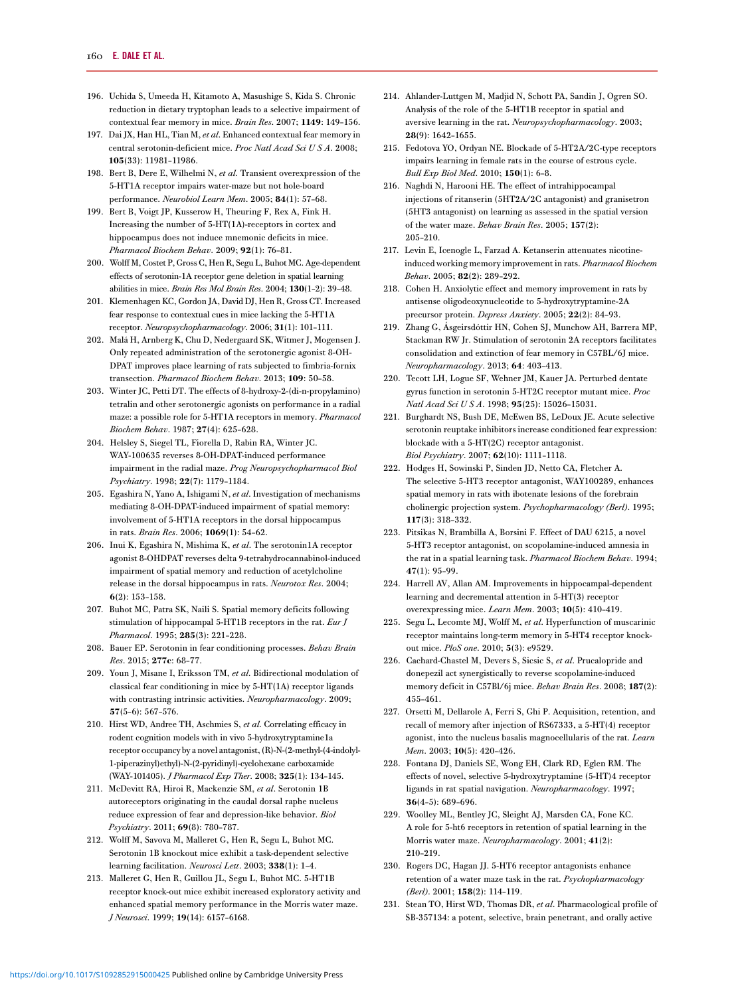- <span id="page-17-0"></span>196. Uchida S, Umeeda H, Kitamoto A, Masushige S, Kida S. Chronic reduction in dietary tryptophan leads to a selective impairment of contextual fear memory in mice. Brain Res. 2007; 1149: 149–156.
- 197. Dai JX, Han HL, Tian M, et al. Enhanced contextual fear memory in central serotonin-deficient mice. Proc Natl Acad Sci U S A. 2008; 105(33): 11981–11986.
- 198. Bert B, Dere E, Wilhelmi N, et al. Transient overexpression of the 5-HT1A receptor impairs water-maze but not hole-board performance. Neurobiol Learn Mem. 2005; 84(1): 57–68.
- 199. Bert B, Voigt JP, Kusserow H, Theuring F, Rex A, Fink H. Increasing the number of 5-HT(1A)-receptors in cortex and hippocampus does not induce mnemonic deficits in mice. Pharmacol Biochem Behav. 2009; 92(1): 76–81.
- 200. Wolff M, Costet P, Gross C, Hen R, Segu L, Buhot MC. Age-dependent effects of serotonin-1A receptor gene deletion in spatial learning abilities in mice. Brain Res Mol Brain Res. 2004; 130(1–2): 39–48.
- 201. Klemenhagen KC, Gordon JA, David DJ, Hen R, Gross CT. Increased fear response to contextual cues in mice lacking the 5-HT1A receptor. Neuropsychopharmacology. 2006; 31(1): 101–111.
- 202. Malá H, Arnberg K, Chu D, Nedergaard SK, Witmer J, Mogensen J. Only repeated administration of the serotonergic agonist 8-OH-DPAT improves place learning of rats subjected to fimbria-fornix transection. Pharmacol Biochem Behav. 2013; 109: 50–58.
- 203. Winter JC, Petti DT. The effects of 8-hydroxy-2-(di-n-propylamino) tetralin and other serotonergic agonists on performance in a radial maze: a possible role for 5-HT1A receptors in memory. Pharmacol Biochem Behav. 1987; 27(4): 625–628.
- 204. Helsley S, Siegel TL, Fiorella D, Rabin RA, Winter JC. WAY-100635 reverses 8-OH-DPAT-induced performance impairment in the radial maze. Prog Neuropsychopharmacol Biol Psychiatry. 1998; 22(7): 1179–1184.
- 205. Egashira N, Yano A, Ishigami N, et al. Investigation of mechanisms mediating 8-OH-DPAT-induced impairment of spatial memory: involvement of 5-HT1A receptors in the dorsal hippocampus in rats. Brain Res. 2006; 1069(1): 54–62.
- 206. Inui K, Egashira N, Mishima K, et al. The serotonin1A receptor agonist 8-OHDPAT reverses delta 9-tetrahydrocannabinol-induced impairment of spatial memory and reduction of acetylcholine release in the dorsal hippocampus in rats. Neurotox Res. 2004; 6(2): 153–158.
- 207. Buhot MC, Patra SK, Naili S. Spatial memory deficits following stimulation of hippocampal 5-HT1B receptors in the rat. Eur J Pharmacol. 1995; 285(3): 221–228.
- 208. Bauer EP. Serotonin in fear conditioning processes. Behav Brain Res. 2015; 277c: 68–77.
- 209. Youn J, Misane I, Eriksson TM, et al. Bidirectional modulation of classical fear conditioning in mice by 5-HT(1A) receptor ligands with contrasting intrinsic activities. Neuropharmacology. 2009; 57(5–6): 567–576.
- 210. Hirst WD, Andree TH, Aschmies S, et al. Correlating efficacy in rodent cognition models with in vivo 5-hydroxytryptamine1a receptor occupancy by a novel antagonist, (R)-N-(2-methyl-(4-indolyl-1-piperazinyl)ethyl)-N-(2-pyridinyl)-cyclohexane carboxamide (WAY-101405). J Pharmacol Exp Ther. 2008; 325(1): 134–145.
- 211. McDevitt RA, Hiroi R, Mackenzie SM, et al. Serotonin 1B autoreceptors originating in the caudal dorsal raphe nucleus reduce expression of fear and depression-like behavior. Biol Psychiatry. 2011; 69(8): 780–787.
- 212. Wolff M, Savova M, Malleret G, Hen R, Segu L, Buhot MC. Serotonin 1B knockout mice exhibit a task-dependent selective learning facilitation. Neurosci Lett. 2003; 338(1): 1–4.
- 213. Malleret G, Hen R, Guillou JL, Segu L, Buhot MC. 5-HT1B receptor knock-out mice exhibit increased exploratory activity and enhanced spatial memory performance in the Morris water maze. J Neurosci. 1999; 19(14): 6157–6168.
- 214. Ahlander-Luttgen M, Madjid N, Schott PA, Sandin J, Ogren SO. Analysis of the role of the 5-HT1B receptor in spatial and aversive learning in the rat. Neuropsychopharmacology. 2003; 28(9): 1642–1655.
- 215. Fedotova YO, Ordyan NE. Blockade of 5-HT2A/2C-type receptors impairs learning in female rats in the course of estrous cycle. Bull Exp Biol Med. 2010; 150(1): 6–8.
- 216. Naghdi N, Harooni HE. The effect of intrahippocampal injections of ritanserin (5HT2A/2C antagonist) and granisetron (5HT3 antagonist) on learning as assessed in the spatial version of the water maze. Behav Brain Res. 2005; 157(2): 205–210.
- 217. Levin E, Icenogle L, Farzad A. Ketanserin attenuates nicotineinduced working memory improvement in rats. Pharmacol Biochem Behav. 2005; 82(2): 289–292.
- 218. Cohen H. Anxiolytic effect and memory improvement in rats by antisense oligodeoxynucleotide to 5-hydroxytryptamine-2A precursor protein. Depress Anxiety. 2005; 22(2): 84–93.
- 219. Zhang G, Ásgeirsdóttir HN, Cohen SJ, Munchow AH, Barrera MP, Stackman RW Jr. Stimulation of serotonin 2A receptors facilitates consolidation and extinction of fear memory in C57BL/6J mice. Neuropharmacology. 2013; 64: 403–413.
- 220. Tecott LH, Logue SF, Wehner JM, Kauer JA. Perturbed dentate gyrus function in serotonin 5-HT2C receptor mutant mice. Proc Natl Acad Sci U S A. 1998; 95(25): 15026–15031.
- 221. Burghardt NS, Bush DE, McEwen BS, LeDoux JE. Acute selective serotonin reuptake inhibitors increase conditioned fear expression: blockade with a 5-HT(2C) receptor antagonist. Biol Psychiatry. 2007; 62(10): 1111–1118.
- 222. Hodges H, Sowinski P, Sinden JD, Netto CA, Fletcher A. The selective 5-HT3 receptor antagonist, WAY100289, enhances spatial memory in rats with ibotenate lesions of the forebrain cholinergic projection system. Psychopharmacology (Berl). 1995; 117(3): 318–332.
- 223. Pitsikas N, Brambilla A, Borsini F. Effect of DAU 6215, a novel 5-HT3 receptor antagonist, on scopolamine-induced amnesia in the rat in a spatial learning task. Pharmacol Biochem Behav. 1994; 47(1): 95–99.
- 224. Harrell AV, Allan AM. Improvements in hippocampal-dependent learning and decremental attention in 5-HT(3) receptor overexpressing mice. Learn Mem. 2003; 10(5): 410–419.
- 225. Segu L, Lecomte MJ, Wolff M, et al. Hyperfunction of muscarinic receptor maintains long-term memory in 5-HT4 receptor knockout mice. PloS one. 2010; 5(3): e9529.
- 226. Cachard-Chastel M, Devers S, Sicsic S, et al. Prucalopride and donepezil act synergistically to reverse scopolamine-induced memory deficit in C57Bl/6j mice. Behav Brain Res. 2008; 187(2): 455–461.
- 227. Orsetti M, Dellarole A, Ferri S, Ghi P. Acquisition, retention, and recall of memory after injection of RS67333, a 5-HT(4) receptor agonist, into the nucleus basalis magnocellularis of the rat. Learn Mem. 2003; 10(5): 420-426.
- 228. Fontana DJ, Daniels SE, Wong EH, Clark RD, Eglen RM. The effects of novel, selective 5-hydroxytryptamine (5-HT)4 receptor ligands in rat spatial navigation. Neuropharmacology. 1997; 36(4–5): 689–696.
- 229. Woolley ML, Bentley JC, Sleight AJ, Marsden CA, Fone KC. A role for 5-ht6 receptors in retention of spatial learning in the Morris water maze. Neuropharmacology. 2001; 41(2): 210–219.
- 230. Rogers DC, Hagan JJ. 5-HT6 receptor antagonists enhance retention of a water maze task in the rat. Psychopharmacology (Berl). 2001; 158(2): 114–119.
- 231. Stean TO, Hirst WD, Thomas DR, et al. Pharmacological profile of SB-357134: a potent, selective, brain penetrant, and orally active